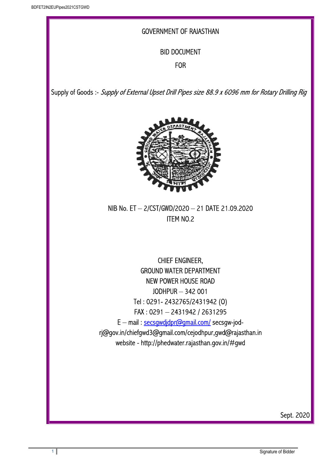## GOVERNMENT OF RAJASTHAN

## BID DOCUMENT

#### FOR

Supply of Goods :- Supply of External Upset Drill Pipes size 88.9 x 6096 mm for Rotary Drilling Rig



NIB No. ET – 2/CST/GWD/2020 – 21 DATE 21.09.2020 ITEM NO.2

CHIEF ENGINEER, GROUND WATER DEPARTMENT NEW POWER HOUSE ROAD JODHPUR – 342 001 Tel : 0291- 2432765/2431942 (O) FAX : 0291 – 2431942 / 2631295 E – mail : secsgwdjdpr@gmail.com/ secsgw-jodrj@gov.in/chiefgwd3@gmail.com/cejodhpur,gwd@rajasthan.in website - http://phedwater.rajasthan.gov.in/#gwd

Sept. 2020

I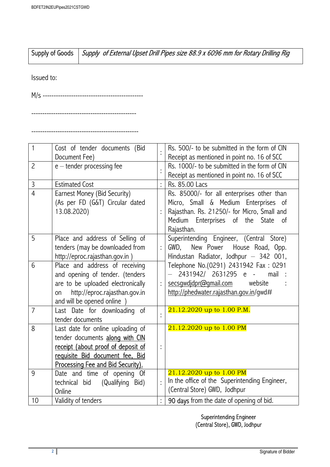------------------------------------------------

-------------------------------------------------

|            | Supply of Goods   Supply of External Upset Drill Pipes size 88.9 x 6096 mm for Rotary Drilling Rig |
|------------|----------------------------------------------------------------------------------------------------|
| Issued to: |                                                                                                    |
| M/s        |                                                                                                    |

| 1              | Cost of tender documents (Bid<br>Document Fee) |                | Rs. 500/- to be submitted in the form of CIN<br>Receipt as mentioned in point no. 16 of SCC |
|----------------|------------------------------------------------|----------------|---------------------------------------------------------------------------------------------|
| $\overline{2}$ |                                                |                |                                                                                             |
|                | $e$ – tender processing fee                    |                | Rs. 1000/- to be submitted in the form of CIN                                               |
|                |                                                |                | Receipt as mentioned in point no. 16 of SCC                                                 |
| $\overline{3}$ | <b>Estimated Cost</b>                          | $\vdots$       | Rs. 85.00 Lacs                                                                              |
| $\overline{4}$ | Earnest Money (Bid Security)                   |                | Rs. 85000/- for all enterprises other than                                                  |
|                | (As per FD (G&T) Circular dated                |                | Micro, Small & Medium Enterprises of                                                        |
|                | 13.08.2020)                                    |                | Rajasthan. Rs. 21250/- for Micro, Small and                                                 |
|                |                                                |                | Medium Enterprises of the State<br>0f                                                       |
|                |                                                |                | Rajasthan.                                                                                  |
| 5              | Place and address of Selling of                |                | Superintending Engineer, (Central Store)                                                    |
|                | tenders (may be downloaded from                | $\vdots$       | New Power House Road, Opp.<br>GWD,                                                          |
|                | http://eproc.rajasthan.gov.in)                 |                | Hindustan Radiator, Jodhpur - 342 001,                                                      |
| 6              |                                                |                |                                                                                             |
|                | Place and address of receiving                 |                | Telephone No.(0291) 2431942 Fax: 0291<br>2431942/ 2631295<br>mail                           |
|                | and opening of tender. (tenders                |                | $e -$                                                                                       |
|                | are to be uploaded electronically              | $\vdots$       | secsgwdjdpr@gmail.com<br>website                                                            |
|                | http://eproc.rajasthan.gov.in<br>on            |                | http://phedwater.rajasthan.gov.in/gwd#                                                      |
|                | and will be opened online )                    |                |                                                                                             |
| $\overline{7}$ | Last Date for downloading of                   |                | 21.12.2020 up to 1.00 P.M.                                                                  |
|                | tender documents                               |                |                                                                                             |
| 8              | Last date for online uploading of              |                | 21.12.2020 up to 1.00 PM                                                                    |
|                | tender documents along with CIN                |                |                                                                                             |
|                | receipt (about proof of deposit of             |                |                                                                                             |
|                | requisite Bid document fee, Bid                |                |                                                                                             |
|                | Processing Fee and Bid Security).              |                |                                                                                             |
| 9              | Date and time of opening Of                    |                | 21.12.2020 up to 1.00 PM                                                                    |
|                | technical bid<br>(Qualifying Bid)              | $\ddot{\cdot}$ | In the office of the Superintending Engineer,                                               |
|                | Online                                         |                | (Central Store) GWD, Jodhpur                                                                |
| 10             | Validity of tenders                            |                | 90 days from the date of opening of bid.                                                    |

Superintending Engineer (Central Store), GWD, Jodhpur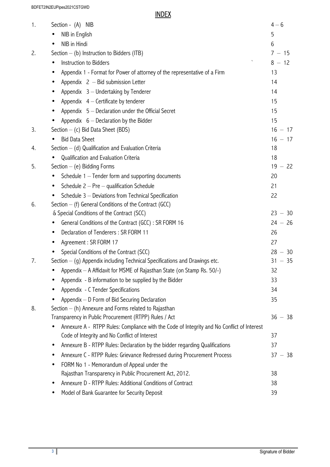BDFET2IN2EUPipes2021CSTGWD

**INDEX** 

| 1. | Section - (A) NIB                                                                                                     | $4 - 6$   |
|----|-----------------------------------------------------------------------------------------------------------------------|-----------|
|    | NIB in English<br>$\bullet$                                                                                           | 5         |
|    | NIB in Hindi<br>$\bullet$                                                                                             | 6         |
| 2. | Section $-$ (b) Instruction to Bidders (ITB)                                                                          | $7 - 15$  |
|    | $\boldsymbol{\mathsf{v}}$<br>Instruction to Bidders<br>$\bullet$                                                      | $8 - 12$  |
|    | Appendix 1 - Format for Power of attorney of the representative of a Firm<br>$\bullet$                                | 13        |
|    | Appendix $2 -$ Bid submission Letter<br>$\bullet$                                                                     | 14        |
|    | Appendix 3 - Undertaking by Tenderer<br>$\bullet$                                                                     | 14        |
|    | Appendix $4$ – Certificate by tenderer                                                                                | 15        |
|    | Appendix $5 -$ Declaration under the Official Secret<br>$\bullet$                                                     | 15        |
|    | Appendix $6$ – Declaration by the Bidder                                                                              | 15        |
| 3. | Section - (c) Bid Data Sheet (BDS)                                                                                    | $16 - 17$ |
|    | <b>Bid Data Sheet</b>                                                                                                 | $16 - 17$ |
| 4. | Section $-$ (d) Qualification and Evaluation Criteria                                                                 | 18        |
|    | Qualification and Evaluation Criteria                                                                                 | 18        |
| 5. | Section $-$ (e) Bidding Forms                                                                                         | $19 - 22$ |
|    | Schedule $1 -$ Tender form and supporting documents<br>$\bullet$                                                      | 20        |
|    | Schedule $2 - Pre -$ qualification Schedule<br>$\bullet$                                                              | 21        |
|    | Schedule 3 - Deviations from Technical Specification                                                                  | 22        |
| 6. | Section $-$ (f) General Conditions of the Contract (GCC)                                                              |           |
|    | & Special Conditions of the Contract (SCC)                                                                            | $23 - 30$ |
|    | General Conditions of the Contract (GCC) : SR FORM 16                                                                 | $24 - 26$ |
|    | Declaration of Tenderers: SR FORM 11<br>$\bullet$                                                                     | 26        |
|    | Agreement: SR FORM 17<br>$\bullet$                                                                                    | 27        |
|    | Special Conditions of the Contract (SCC)                                                                              | $28 - 30$ |
| 7. | Section $-$ (g) Appendix including Technical Specifications and Drawings etc.                                         | $31 - 35$ |
|    | Appendix - A Affidavit for MSME of Rajasthan State (on Stamp Rs. 50/-)                                                | 32        |
|    | Appendix - B information to be supplied by the Bidder                                                                 | 33        |
|    | Appendix - C Tender Specifications                                                                                    | 34        |
|    | Appendix - D Form of Bid Securing Declaration                                                                         | 35        |
| 8. | Section - (h) Annexure and Forms related to Rajasthan                                                                 |           |
|    | Transparency in Public Procurement (RTPP) Rules / Act                                                                 | $36 - 38$ |
|    | Annexure A - RTPP Rules: Compliance with the Code of Integrity and No Conflict of Interest<br>$\bullet$               |           |
|    | Code of Integrity and No Conflict of Interest                                                                         | 37        |
|    | Annexure B - RTPP Rules: Declaration by the bidder regarding Qualifications<br>$\bullet$                              | 37        |
|    | Annexure C - RTPP Rules: Grievance Redressed during Procurement Process<br>$\bullet$                                  | $37 - 38$ |
|    | FORM No 1 - Memorandum of Appeal under the<br>$\bullet$                                                               | 38        |
|    | Rajasthan Transparency in Public Procurement Act, 2012.<br>Annexure D - RTPP Rules: Additional Conditions of Contract |           |
|    | $\bullet$                                                                                                             | 38        |
|    | Model of Bank Guarantee for Security Deposit                                                                          | 39        |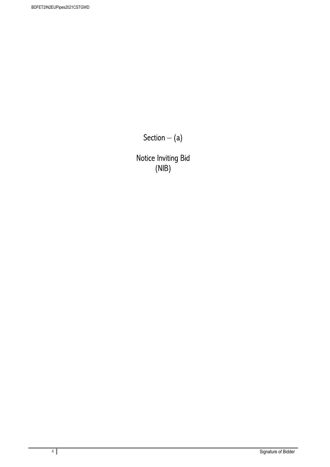Section  $-$  (a)

Notice Inviting Bid (NIB)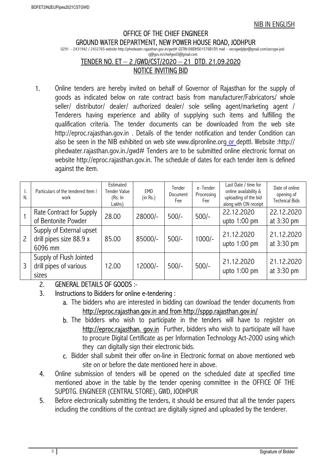#### OFFICE OF THE CHIEF ENGINEER GROUND WATER DEPARTMENT, NEW POWER HOUSE ROAD, JODHPUR

0291 – 2431942 / 2432765 website http://phedwater.rajasthan.gov.in/gwd# GSTIN:08JDHS01576B1D5 mail – secsgwdjdpr@gmail.com/secsgw-jod-

#### rj@gov.in/chiefgwd3@gmail.com TENDER NO. ET – 2 /GWD/CST/2020 – 21 DTD. 21.09.2020 NOTICE INVITING BID

 1. Online tenders are hereby invited on behalf of Governor of Rajasthan for the supply of goods as indicated below on rate contract basis from manufacturer/Fabricators/ whole seller/ distributor/ dealer/ authorized dealer/ sole selling agent/marketing agent / Tenderers having experience and ability of supplying such items and fulfilling the qualification criteria. The tender documents can be downloaded from the web site http://eproc.rajasthan.gov.in . Details of the tender notification and tender Condition can also be seen in the NIB exhibited on web site www.dipronline.org or depttl. Website :http:// phedwater.rajasthan.gov.in./gwd# Tenders are to be submitted online electronic format on website http://eproc.rajasthan.gov.in. The schedule of dates for each tender item is defined against the item.

| ۱.<br>N.       | Particulars of the tendered Item /<br>work                     | Estimated<br>Tender Value<br>(Rs. In<br>Lakhs) | EMD<br>(in Rs.) | Tender<br>Document<br>Fee | e-Tender<br>Processing<br>Fee | Last Date / time for<br>online availability &<br>uploading of the bid<br>along with CIN receipt | Date of online<br>opening of<br><b>Technical Bids</b> |
|----------------|----------------------------------------------------------------|------------------------------------------------|-----------------|---------------------------|-------------------------------|-------------------------------------------------------------------------------------------------|-------------------------------------------------------|
|                | Rate Contract for Supply<br>of Bentonite Powder                | 28.00                                          | 28000/-         | $500/-$                   | $500/-$                       | 22.12.2020<br>upto $1:00$ pm                                                                    | 22.12.2020<br>at 3:30 pm                              |
| $\overline{c}$ | Supply of External upset<br>drill pipes size 88.9 x<br>6096 mm | 85.00                                          | 85000/-         | $500/-$                   | 1000/-                        | 21.12.2020<br>upto 1:00 pm                                                                      | 21.12.2020<br>at 3:30 pm                              |
| 3              | Supply of Flush Jointed<br>drill pipes of various<br>sizes     | 12.00                                          | 12000/-         | $500/-$                   | $500/-$                       | 21.12.2020<br>upto $1:00$ pm                                                                    | 21.12.2020<br>at 3:30 pm                              |

## 2. GENERAL DETAILS OF GOODS :-

## 3. Instructions to Bidders for online e-tendering :

- a. The bidders who are interested in bidding can download the tender documents from http://eproc.rajasthan.gov.in and from http://sppp.rajasthan.gov.in/
- b. The bidders who wish to participate in the tenders will have to register on http://eproc.rajasthan. gov.in Further, bidders who wish to participate will have to procure Digital Certificate as per Information Technology Act-2000 using which they can digitally sign their electronic bids.
- c. Bidder shall submit their offer on-line in Electronic format on above mentioned web site on or before the date mentioned here in above.
- 4. Online submission of tenders will be opened on the scheduled date at specified time mentioned above in the table by the tender opening committee in the OFFICE OF THE SUPDTG. ENGINEER (CENTRAL STORE), GWD, JODHPUR
- 5. Before electronically submitting the tenders, it should be ensured that all the tender papers including the conditions of the contract are digitally signed and uploaded by the tenderer.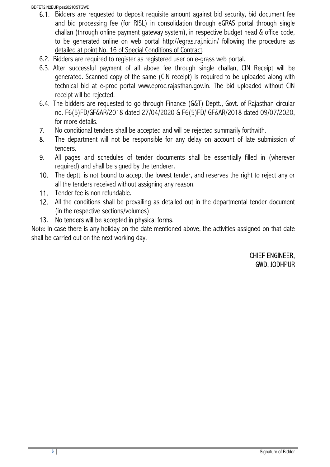- 6.1. Bidders are requested to deposit requisite amount against bid security, bid document fee and bid processing fee (for RISL) in consolidation through eGRAS portal through single challan (through online payment gateway system), in respective budget head & office code, to be generated online on web portal http://egras.raj.nic.in/ following the procedure as detailed at point No. 16 of Special Conditions of Contract.
- 6.2. Bidders are required to register as registered user on e-grass web portal.
- 6.3. After successful payment of all above fee through single challan, CIN Receipt will be generated. Scanned copy of the same (CIN receipt) is required to be uploaded along with technical bid at e-proc portal www.eproc.rajasthan.gov.in. The bid uploaded without CIN receipt will be rejected.
- 6.4. The bidders are requested to go through Finance (G&T) Deptt., Govt. of Rajasthan circular no. F6(5)FD/GF&AR/2018 dated 27/04/2020 & F6(5)FD/ GF&AR/2018 dated 09/07/2020, for more details.
- 7. No conditional tenders shall be accepted and will be rejected summarily forthwith.
- 8. The department will not be responsible for any delay on account of late submission of tenders.
- 9. All pages and schedules of tender documents shall be essentially filled in (wherever required) and shall be signed by the tenderer.
- 10. The deptt. is not bound to accept the lowest tender, and reserves the right to reject any or all the tenders received without assigning any reason.
- 11. Tender fee is non refundable.
- 12. All the conditions shall be prevailing as detailed out in the departmental tender document (in the respective sections/volumes)
- 13. No tenders will be accepted in physical forms.

Note: In case there is any holiday on the date mentioned above, the activities assigned on that date shall be carried out on the next working day.

> CHIEF ENGINEER, GWD, JODHPUR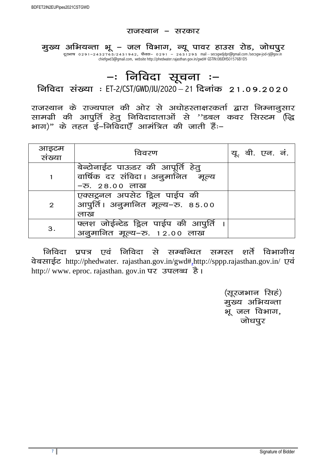#### राजस्थान – सरकार

मुख्य अभियन्ता भू – जल विभाग, न्यू पावर हाउस रोड, जोधपुर दूरभाष 0291–2432765/2431942, फैक्स– 0291 – 2631295 mail – secsgwdjdpr@gmail.com /secsgw-jod-rj@gov.in chiefgwd3@gmail.com, website http://phedwater.rajasthan.gov.in/gwd# GSTIN:08JDHS01576B1D5

# –ः निविदा सूचना ः–

निविदा संख्या : ET-2/CST/GWD/JU/2020 – 21 दिनांक 21.09.2020

राजस्थान के राज्यपाल की ओर से अधोहस्ताक्षरकर्ता द्वारा निम्नानूसार सामग्री की आपुर्ति हेतु निविदादाताओं से  $^{\prime\prime}$ डबल कवर सिस्टम (द्धि भाग)" के तहत ई–निविदाएँ आमंत्रित की जाती हैंः–

| आइटम<br>संख्या | विवरण                                                                 |  | यू. बी. एन. नं. |  |
|----------------|-----------------------------------------------------------------------|--|-----------------|--|
|                | बेन्टोनाईट पाऊडर की आपूर्ति हेतु<br>वार्षिक दर संविदा। अनुमानित मूल्य |  |                 |  |
|                | -रु. २८.०० लाख                                                        |  |                 |  |
|                | एक्सट्रनल अपसेट ड्रिल पाईप की                                         |  |                 |  |
| $\overline{2}$ | आपुर्ति। अनुमानित मूल्य-रु. 85.00                                     |  |                 |  |
|                | लाख                                                                   |  |                 |  |
| 3.             | फ्लश जोईन्टेड ड्रिल पाईप की आपुर्ति                                   |  |                 |  |
|                | अनुमानित मूल्य–रु. 12.00 लाख                                          |  |                 |  |

<u>निविदा प्रपत्र एवं निविदा से सम्बन्धित समस्त शर्ते विभागीय</u> वेबसाईट http://phedwater. rajasthan.gov.in/gwd#,http://sppp.rajasthan.gov.in/ एवं http:// www. eproc. rajasthan. gov. in पर उपलब्ध है।

> (सूरजभान सिहं) मुख्य अभियन्ता मूजल विभाग, जोधपुर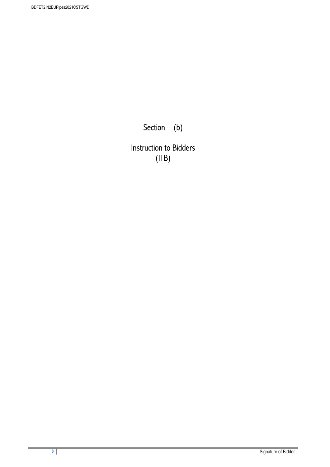Section  $-$  (b)

Instruction to Bidders (ITB)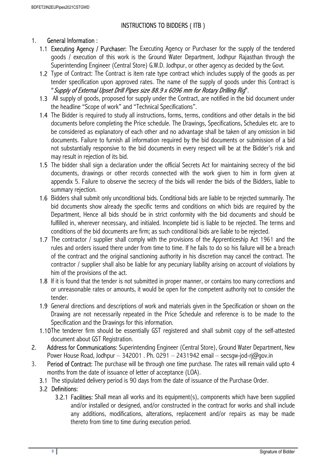## INSTRUCTIONS TO BIDDERS ( ITB )

## 1. General Information :

- 1.1 Executing Agency / Purchaser: The Executing Agency or Purchaser for the supply of the tendered goods / execution of this work is the Ground Water Department, Jodhpur Rajasthan through the Superintending Engineer (Central Store) G.W.D. Jodhpur, or other agency as decided by the Govt.
- 1.2 Type of Contract: The Contract is item rate type contract which includes supply of the goods as per tender specification upon approved rates. The name of the supply of goods under this Contract is "Supply of External Upset Drill Pipes size 88.9 x 6096 mm for Rotary Drilling Rig".
- 1.3 All supply of goods, proposed for supply under the Contract, are notified in the bid document under the headline "Scope of work" and "Technical Specifications".
- 1.4 The Bidder is required to study all instructions, forms, terms, conditions and other details in the bid documents before completing the Price schedule. The Drawings, Specifications, Schedules etc. are to be considered as explanatory of each other and no advantage shall be taken of any omission in bid documents. Failure to furnish all information required by the bid documents or submission of a bid not substantially responsive to the bid documents in every respect will be at the Bidder's risk and may result in rejection of its bid.
- 1.5 The bidder shall sign a declaration under the official Secrets Act for maintaining secrecy of the bid documents, drawings or other records connected with the work given to him in form given at appendix 5. Failure to observe the secrecy of the bids will render the bids of the Bidders, liable to summary rejection.
- 1.6 Bidders shall submit only unconditional bids. Conditional bids are liable to be rejected summarily. The bid documents show already the specific terms and conditions on which bids are required by the Department, Hence all bids should be in strict conformity with the bid documents and should be fulfilled in, wherever necessary, and initialed. Incomplete bid is liable to be rejected. The terms and conditions of the bid documents are firm; as such conditional bids are liable to be rejected.
- 1.7 The contractor / supplier shall comply with the provisions of the Apprenticeship Act 1961 and the rules and orders issued there under from time to time. If he fails to do so his failure will be a breach of the contract and the original sanctioning authority in his discretion may cancel the contract. The contractor / supplier shall also be liable for any pecuniary liability arising on account of violations by him of the provisions of the act.
- 1.8 If it is found that the tender is not submitted in proper manner, or contains too many corrections and or unreasonable rates or amounts, it would be open for the competent authority not to consider the tender.
- 1.9 General directions and descriptions of work and materials given in the Specification or shown on the Drawing are not necessarily repeated in the Price Schedule and reference is to be made to the Specification and the Drawings for this information.
- 1.10The tenderer firm should be essentially GST registered and shall submit copy of the self-attested document about GST Registration.
- 2. Address for Communications: Superintending Engineer (Central Store), Ground Water Department, New Power House Road, Jodhpur – 342001. Ph. 0291 – 2431942 email – secsgw-jod-rj $(\partial q_{\text{ov}})$ .
- 3. Period of Contract: The purchase will be through one time purchase. The rates will remain valid upto 4 months from the date of issuance of letter of acceptance (LOA).
	- 3.1 The stipulated delivery period is 90 days from the date of issuance of the Purchase Order.
	- 3.2 Definitions:
		- 3.2.1 Facilities: Shall mean all works and its equipment(s), components which have been supplied and/or installed or designed, and/or constructed in the contract for works and shall include any additions, modifications, alterations, replacement and/or repairs as may be made thereto from time to time during execution period.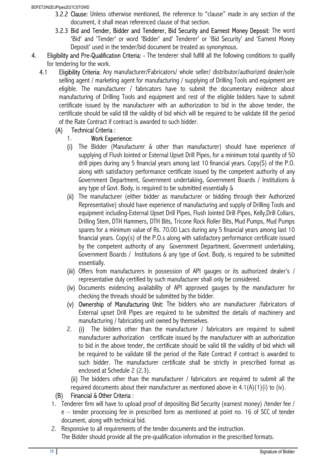- 3.2.2 Clause: Unless otherwise mentioned, the reference to "clause" made in any section of the document, it shall mean referenced clause of that section.
- 3.2.3 Bid and Tender, Bidder and Tenderer, Bid Security and Earnest Money Deposit: The word 'Bid' and 'Tender' or word 'Bidder' and' Tenderer' or 'Bid Security' and 'Earnest Money Deposit' used in the tender/bid document be treated as synonymous.
- 4. Eligibility and Pre-Qualification Criteria: The tenderer shall fulfill all the following conditions to qualify for tendering for the work.
	- 4.1 Eligibility Criteria: Any manufacturer/Fabricators/ whole seller/ distributor/authorized dealer/sole selling agent / marketing agent for manufacturing / supplying of Drilling Tools and equipment are eligible. The manufacturer / fabricators have to submit the documentary evidence about manufacturing of Drilling Tools and equipment and rest of the eligible bidders have to submit certificate issued by the manufacturer with an authorization to bid in the above tender, the certificate should be valid till the validity of bid which will be required to be validate till the period of the Rate Contract if contract is awarded to such bidder.

## (A) Technical Criteria :

## 1. Work Experience:

- (i) The Bidder (Manufacturer & other than manufacturer) should have experience of supplying of Flush Jointed or External Upset Drill Pipes, for a minimum total quantity of 50 drill pipes during any 5 financial years among last 10 financial years. Copy(S) of the P.O. along with satisfactory performance certificate issued by the competent authority of any Government Department, Government undertaking, Government Boards / Institutions & any type of Govt. Body, is required to be submitted essentially &
- (ii) The manufacturer (either bidder as manufacturer or bidding through their Authorized Representative) should have experience of manufacturing and supply of Drilling Tools and equipment including-External Upset Drill Pipes, Flush Jointed Drill Pipes, Kelly,Drill Collars, Drilling Stem, DTH Hammers, DTH Bits, Tricone Rock Roller Bits, Mud Pumps, Mud Pumps spares for a minimum value of Rs. 70.00 Lacs during any 5 financial years among last 10 financial years. Copy(s) of the P.O.s along with satisfactory performance certificate issued by the competent authority of any Government Department, Government undertaking, Government Boards / Institutions & any type of Govt. Body, is required to be submitted essentially.
- (iii) Offers from manufacturers in possession of API gauges or its authorized dealer's / representative duly certified by such manufacturer shall only be considered.
- (iv) Documents evidencing availability of API approved gauges by the manufacturer for checking the threads should be submitted by the bidder.
- (v) Ownership of Manufacturing Unit: The bidders who are manufacturer /fabricators of External upset Drill Pipes are required to be submitted the details of machinery and manufacturing / fabricating unit owned by themselves.
- 2. (i) The bidders other than the manufacturer / fabricators are required to submit manufacturer authorization certificate issued by the manufacturer with an authorization to bid in the above tender, the certificate should be valid till the validity of bid which will be required to be validate till the period of the Rate Contract if contract is awarded to such bidder. The manufacturer certificate shall be strictly in prescribed format as enclosed at Schedule 2 (2.3).

(ii) The bidders other than the manufacturer / fabricators are required to submit all the required documents about their manufacturer as mentioned above in  $4.1(A)(1)(i)$  to (iv).

## (B) Financial & Other Criteria :

- 1. Tenderer firm will have to upload proof of depositing Bid Security (earnest money) /tender fee / e – tender processing fee in prescribed form as mentioned at point no. 16 of SCC of tender document, along with technical bid.
- 2. Responsive to all requirements of the tender documents and the instruction. The Bidder should provide all the pre-qualification information in the prescribed formats.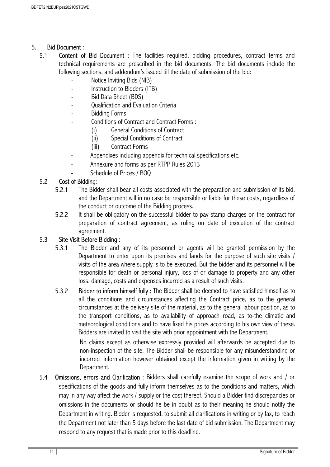## 5. Bid Document :

- 5.1 Content of Bid Document : The facilities required, bidding procedures, contract terms and technical requirements are prescribed in the bid documents. The bid documents include the following sections, and addendum's issued till the date of submission of the bid:
	- Notice Inviting Bids (NIB)
	- Instruction to Bidders (ITB)
	- Bid Data Sheet (BDS)
	- Qualification and Evaluation Criteria
	- Bidding Forms
	- Conditions of Contract and Contract Forms :
		- (i) General Conditions of Contract
		- (ii) Special Conditions of Contract
		- (iii) Contract Forms
	- Appendixes including appendix for technical specifications etc.
	- Annexure and forms as per RTPP Rules 2013
	- Schedule of Prices / BOQ

## 5.2 Cost of Bidding:

- 5.2.1 The Bidder shall bear all costs associated with the preparation and submission of its bid, and the Department will in no case be responsible or liable for these costs, regardless of the conduct or outcome of the Bidding process.
- 5.2.2 It shall be obligatory on the successful bidder to pay stamp charges on the contract for preparation of contract agreement, as ruling on date of execution of the contract agreement.

#### 5.3 Site Visit Before Bidding :

- 5.3.1 The Bidder and any of its personnel or agents will be granted permission by the Department to enter upon its premises and lands for the purpose of such site visits / visits of the area where supply is to be executed. But the bidder and its personnel will be responsible for death or personal injury, loss of or damage to property and any other loss, damage, costs and expenses incurred as a result of such visits.
- 5.3.2 Bidder to inform himself fully : The Bidder shall be deemed to have satisfied himself as to all the conditions and circumstances affecting the Contract price, as to the general circumstances at the delivery site of the material, as to the general labour position, as to the transport conditions, as to availability of approach road, as to-the climatic and meteorological conditions and to have fixed his prices according to his own view of these. Bidders are invited to visit the site with prior appointment with the Department.

No claims except as otherwise expressly provided will afterwards be accepted due to non-inspection of the site. The Bidder shall be responsible for any misunderstanding or incorrect information however obtained except the information given in writing by the Department.

5.4 Omissions, errors and Clarification : Bidders shall carefully examine the scope of work and / or specifications of the goods and fully inform themselves as to the conditions and matters, which may in any way affect the work / supply or the cost thereof. Should a Bidder find discrepancies or omissions in the documents or should he be in doubt as to their meaning he should notify the Department in writing. Bidder is requested, to submit all clarifications in writing or by fax, to reach the Department not later than 5 days before the last date of bid submission. The Department may respond to any request that is made prior to this deadline.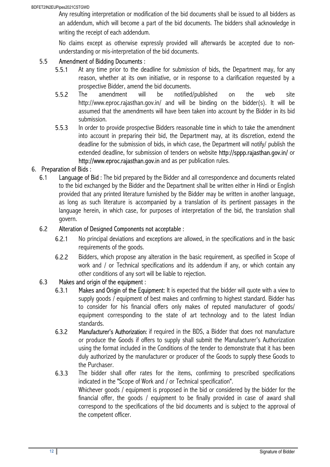Any resulting interpretation or modification of the bid documents shall be issued to all bidders as an addendum, which will become a part of the bid documents. The bidders shall acknowledge in writing the receipt of each addendum.

No claims except as otherwise expressly provided will afterwards be accepted due to nonunderstanding or mis-interpretation of the bid documents.

## 5.5 Amendment of Bidding Documents :

- 5.5.1 At any time prior to the deadline for submission of bids, the Department may, for any reason, whether at its own initiative, or in response to a clarification requested by a prospective Bidder, amend the bid documents.
- 5.5.2 The amendment will be notified/published on the web site http://www.eproc.rajasthan.gov.in/ and will be binding on the bidder(s). It will be assumed that the amendments will have been taken into account by the Bidder in its bid submission.
- 5.5.3 In order to provide prospective Bidders reasonable time in which to take the amendment into account in preparing their bid, the Department may, at its discretion, extend the deadline for the submission of bids, in which case, the Department will notify/ publish the extended deadline, for submission of tenders on website http://sppp.rajasthan.gov.in/ or http://www.eproc.rajasthan.gov.in and as per publication rules.

## 6. Preparation of Bids :

6.1 Language of Bid : The bid prepared by the Bidder and all correspondence and documents related to the bid exchanged by the Bidder and the Department shall be written either in Hindi or English provided that any printed literature furnished by the Bidder may be written in another language, as long as such literature is accompanied by a translation of its pertinent passages in the language herein, in which case, for purposes of interpretation of the bid, the translation shall govern.

#### 6.2 Alteration of Designed Components not acceptable :

- 6.2.1 No principal deviations and exceptions are allowed, in the specifications and in the basic requirements of the goods.
- 6.2.2 Bidders, which propose any alteration in the basic requirement, as specified in Scope of work and / or Technical specifications and its addendum if any, or which contain any other conditions of any sort will be liable to rejection.

#### 6.3 Makes and origin of the equipment :

- 6.3.1 Makes and Origin of the Equipment: It is expected that the bidder will quote with a view to supply goods / equipment of best makes and confirming to highest standard. Bidder has to consider for his financial offers only makes of reputed manufacturer of goods/ equipment corresponding to the state of art technology and to the latest Indian standards.
- 6.3.2 Manufacturer's Authorization: if required in the BDS, a Bidder that does not manufacture or produce the Goods if offers to supply shall submit the Manufacturer's Authorization using the format included in the Conditions of the tender to demonstrate that it has been duly authorized by the manufacturer or producer of the Goods to supply these Goods to the Purchaser.
- 6.3.3 The bidder shall offer rates for the items, confirming to prescribed specifications indicated in the "Scope of Work and / or Technical specification". Whichever goods / equipment is proposed in the bid or considered by the bidder for the financial offer, the goods / equipment to be finally provided in case of award shall correspond to the specifications of the bid documents and is subject to the approval of the competent officer.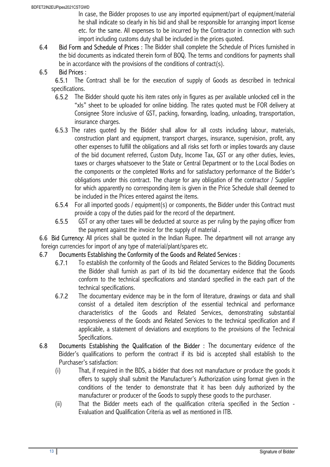In case, the Bidder proposes to use any imported equipment/part of equipment/material he shall indicate so clearly in his bid and shall be responsible for arranging import license etc. for the same. All expenses to be incurred by the Contractor in connection with such import including customs duty shall be included in the prices quoted.

6.4 Bid Form and Schedule of Prices : The Bidder shall complete the Schedule of Prices furnished in the bid documents as indicated therein form of BOQ. The terms and conditions for payments shall be in accordance with the provisions of the conditions of contract(s).

## 6.5 Bid Prices :

6.5.1 The Contract shall be for the execution of supply of Goods as described in technical specifications.

- 6.5.2 The Bidder should quote his item rates only in figures as per available unlocked cell in the "xls" sheet to be uploaded for online bidding. The rates quoted must be FOR delivery at Consignee Store inclusive of GST, packing, forwarding, loading, unloading, transportation, insurance charges.
- 6.5.3 The rates quoted by the Bidder shall allow for all costs including labour, materials, construction plant and equipment, transport charges, insurance, supervision, profit, any other expenses to fulfill the obligations and all risks set forth or implies towards any clause of the bid document referred, Custom Duty, Income Tax, GST or any other duties, levies, taxes or charges whatsoever to the State or Central Department or to the Local Bodies on the components or the completed Works and for satisfactory performance of the Bidder's obligations under this contract. The charge for any obligation of the contractor / Supplier for which apparently no corresponding item is given in the Price Schedule shall deemed to be included in the Prices entered against the items.
- 6.5.4 For all imported goods / equipment(s) or components, the Bidder under this Contract must provide a copy of the duties paid for the record of the department.
- 6.5.5 GST or any other taxes will be deducted at source as per ruling by the paying officer from the payment against the invoice for the supply of material .

6.6 Bid Currency: All prices shall be quoted in the Indian Rupee. The department will not arrange any foreign currencies for import of any type of material/plant/spares etc.

#### 6.7 Documents Establishing the Conformity of the Goods and Related Services :

- 6.7.1 To establish the conformity of the Goods and Related Services to the Bidding Documents the Bidder shall furnish as part of its bid the documentary evidence that the Goods conform to the technical specifications and standard specified in the each part of the technical specifications.
- 6.7.2 The documentary evidence may be in the form of literature, drawings or data and shall consist of a detailed item description of the essential technical and performance characteristics of the Goods and Related Services, demonstrating substantial responsiveness of the Goods and Related Services to the technical specification and if applicable, a statement of deviations and exceptions to the provisions of the Technical Specifications.
- 6.8 Documents Establishing the Qualification of the Bidder : The documentary evidence of the Bidder's qualifications to perform the contract if its bid is accepted shall establish to the Purchaser's satisfaction:
	- (i) That, if required in the BDS, a bidder that does not manufacture or produce the goods it offers to supply shall submit the Manufacturer's Authorization using format given in the conditions of the tender to demonstrate that it has been duly authorized by the manufacturer or producer of the Goods to supply these goods to the purchaser.
	- (ii) That the Bidder meets each of the qualification criteria specified in the Section Evaluation and Qualification Criteria as well as mentioned in ITB.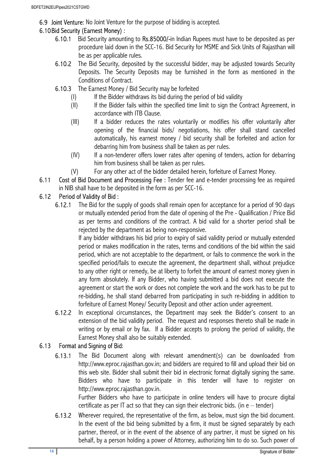6.9 Joint Venture: No Joint Venture for the purpose of bidding is accepted.

## 6.10Bid Security (Earnest Money) :

- 6.10.1 Bid Security amounting to Rs.85000/-in Indian Rupees must have to be deposited as per procedure laid down in the SCC-16. Bid Security for MSME and Sick Units of Rajasthan will be as per applicable rules.
- 6.10.2 The Bid Security, deposited by the successful bidder, may be adjusted towards Security Deposits. The Security Deposits may be furnished in the form as mentioned in the Conditions of Contract.
- 6.10.3 The Earnest Money / Bid Security may be forfeited
	- (I) If the Bidder withdraws its bid during the period of bid validity
	- (II) If the Bidder fails within the specified time limit to sign the Contract Agreement, in accordance with ITB Clause.
	- (III) If a bidder reduces the rates voluntarily or modifies his offer voluntarily after opening of the financial bids/ negotiations, his offer shall stand cancelled automatically, his earnest money / bid security shall be forfeited and action for debarring him from business shall be taken as per rules.
	- (IV) If a non-tenderer offers lower rates after opening of tenders, action for debarring him from business shall be taken as per rules.
	- (V) For any other act of the bidder detailed herein, forfeiture of Earnest Money.
- 6.11 Cost of Bid Document and Processing Fee : Tender fee and e-tender processing fee as required in NIB shall have to be deposited in the form as per SCC-16.

## 6.12 Period of Validity of Bid :

6.12.1 The Bid for the supply of goods shall remain open for acceptance for a period of 90 days or mutually extended period from the date of opening of the Pre - Qualification / Price Bid as per terms and conditions of the contract. A bid valid for a shorter period shall be rejected by the department as being non-responsive.

If any bidder withdraws his bid prior to expiry of said validity period or mutually extended period or makes modification in the rates, terms and conditions of the bid within the said period, which are not acceptable to the department, or fails to commence the work in the specified period/fails to execute the agreement, the department shall, without prejudice to any other right or remedy, be at liberty to forfeit the amount of earnest money given in any form absolutely. If any Bidder, who having submitted a bid does not execute the agreement or start the work or does not complete the work and the work has to be put to re-bidding, he shall stand debarred from participating in such re-bidding in addition to forfeiture of Earnest Money/ Security Deposit and other action under agreement.

6.12.2 In exceptional circumstances, the Department may seek the Bidder's consent to an extension of the bid validity period. The request and responses thereto shall be made in writing or by email or by fax. If a Bidder accepts to prolong the period of validity, the Earnest Money shall also be suitably extended.

## 6.13 Format and Signing of Bid:

6.13.1 The Bid Document along with relevant amendment(s) can be downloaded from http://www.eproc.rajasthan.gov.in; and bidders are required to fill and upload their bid on this web site. Bidder shall submit their bid in electronic format digitally signing the same. Bidders who have to participate in this tender will have to register on http://www.eproc.rajasthan.gov.in.

Further Bidders who have to participate in online tenders will have to procure digital certificate as per IT act so that they can sign their electronic bids. (in  $e$  – tender)

6.13.2 Wherever required, the representative of the firm, as below, must sign the bid document. In the event of the bid being submitted by a firm, it must be signed separately by each partner, thereof, or in the event of the absence of any partner, it must be signed on his behalf, by a person holding a power of Attorney, authorizing him to do so. Such power of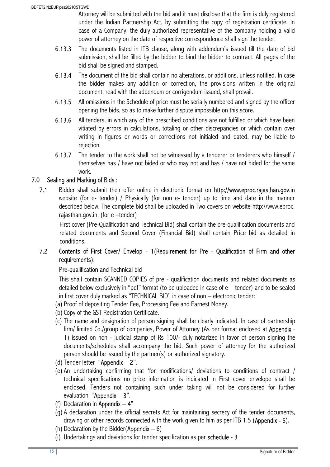Attorney will be submitted with the bid and it must disclose that the firm is duly registered under the Indian Partnership Act, by submitting the copy of registration certificate. In case of a Company, the duly authorized representative of the company holding a valid power of attorney on the date of respective correspondence shall sign the tender.

- 6.13.3 The documents listed in ITB clause, along with addendum's issued till the date of bid submission, shall be filled by the bidder to bind the bidder to contract. All pages of the bid shall be signed and stamped.
- 6.13.4 The document of the bid shall contain no alterations, or additions, unless notified. In case the bidder makes any addition or correction, the provisions written in the original document, read with the addendum or corrigendum issued, shall prevail.
- 6.13.5 All omissions in the Schedule of price must be serially numbered and signed by the officer opening the bids, so as to make further dispute impossible on this score.
- 6.13.6 All tenders, in which any of the prescribed conditions are not fulfilled or which have been vitiated by errors in calculations, totaling or other discrepancies or which contain over writing in figures or words or corrections not initialed and dated, may be liable to rejection.
- 6.13.7 The tender to the work shall not be witnessed by a tenderer or tenderers who himself / themselves has / have not bided or who may not and has / have not bided for the same work.

## 7.0 Sealing and Marking of Bids :

7.1 Bidder shall submit their offer online in electronic format on http://www.eproc.rajasthan.gov.in website (for e- tender) / Physically (for non e- tender) up to time and date in the manner described below. The complete bid shall be uploaded in Two covers on website http://www.eproc. rajasthan.gov.in. (for e –tender)

First cover (Pre-Qualification and Technical Bid) shall contain the pre-qualification documents and related documents and Second Cover (Financial Bid) shall contain Price bid as detailed in conditions.

## 7.2 Contents of First Cover/ Envelop - 1(Requirement for Pre - Qualification of Firm and other requirements):

## Pre-qualification and Technical bid

This shall contain SCANNED COPIES of pre - qualification documents and related documents as detailed below exclusively in "pdf" format (to be uploaded in case of  $e$  – tender) and to be sealed in first cover duly marked as "TECHNICAL BID" in case of non – electronic tender:

- (a) Proof of depositing Tender Fee, Processing Fee and Earnest Money.
- (b) Copy of the GST Registration Certificate.
- (c) The name and designation of person signing shall be clearly indicated. In case of partnership firm/ limited Co./group of companies, Power of Attorney (As per format enclosed at Appendix -1) issued on non - judicial stamp of Rs 100/- duly notarized in favor of person signing the documents/schedules shall accompany the bid. Such power of attorney for the authorized person should be issued by the partner(s) or authorized signatory.
- (d) Tender letter "Appendix  $-2$ ".
- (e) An undertaking confirming that 'for modifications/ deviations to conditions of contract / technical specifications no price information is indicated in First cover envelope shall be enclosed. Tenders not containing such under taking will not be considered for further evaluation. "Appendix  $-3$ ".
- (f) Declaration in Appendix  $-4$ "
- (g) A declaration under the official secrets Act for maintaining secrecy of the tender documents, drawing or other records connected with the work given to him as per ITB 1.5 (Appendix - 5).
- (h) Declaration by the Bidder(Appendix  $-6$ )
- (i) Undertakings and deviations for tender specification as per schedule 3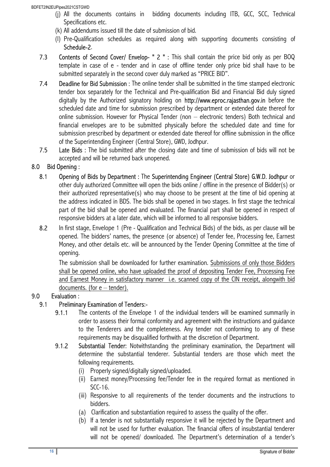BDFET2IN2EUPipes2021CSTGWD

- (j) All the documents contains in bidding documents including ITB, GCC, SCC, Technical Specifications etc.
- (k) All addendums issued till the date of submission of bid.
- (l) Pre-Qualification schedules as required along with supporting documents consisting of Schedule-2.
- 7.3 Contents of Second Cover/ Envelop- " 2 " : This shall contain the price bid only as per BOQ template in case of e - tender and in case of offline tender only price bid shall have to be submitted separately in the second cover duly marked as "PRICE BID".
- 7.4 Deadline for Bid Submission : The online tender shall be submitted in the time stamped electronic tender box separately for the Technical and Pre-qualification Bid and Financial Bid duly signed digitally by the Authorized signatory holding on http://www.eproc.rajasthan.gov.in before the scheduled date and time for submission prescribed by department or extended date thereof for online submission. However for Physical Tender (non – electronic tenders) Both technical and financial envelopes are to be submitted physically before the scheduled date and time for submission prescribed by department or extended date thereof for offline submission in the office of the Superintending Engineer (Central Store), GWD, Jodhpur.
- 7.5 Late Bids : The bid submitted after the closing date and time of submission of bids will not be accepted and will be returned back unopened.

## 8.0 Bid Opening :

- 8.1 Opening of Bids by Department : The Superintending Engineer (Central Store) G.W.D. Jodhpur or other duly authorized Committee will open the bids online / offline in the presence of Bidder(s) or their authorized representative(s) who may choose to be present at the time of bid opening at the address indicated in BDS. The bids shall be opened in two stages. In first stage the technical part of the bid shall be opened and evaluated. The financial part shall be opened in respect of responsive bidders at a later date, which will be informed to all responsive bidders.
- 8.2 In first stage, Envelope 1 (Pre Qualification and Technical Bids) of the bids, as per clause will be opened. The bidders' names, the presence (or absence) of Tender fee, Processing fee, Earnest Money, and other details etc. will be announced by the Tender Opening Committee at the time of opening.

The submission shall be downloaded for further examination. Submissions of only those Bidders shall be opened online, who have uploaded the proof of depositing Tender Fee, Processing Fee and Earnest Money in satisfactory manner i.e. scanned copy of the CIN receipt, alongwith bid documents. (for  $e$  – tender).

## 9.0 Evaluation :

## 9.1 Preliminary Examination of Tenders:-

- 9.1.1 The contents of the Envelope 1 of the individual tenders will be examined summarily in order to assess their formal conformity and agreement with the instructions and guidance to the Tenderers and the completeness. Any tender not conforming to any of these requirements may be disqualified forthwith at the discretion of Department.
- 9.1.2 Substantial Tender: Notwithstanding the preliminary examination, the Department will determine the substantial tenderer. Substantial tenders are those which meet the following requirements.
	- (i) Properly signed/digitally signed/uploaded.
	- (ii) Earnest money/Processing fee/Tender fee in the required format as mentioned in SCC-16.
	- (iii) Responsive to all requirements of the tender documents and the instructions to bidders.
	- (a) Clarification and substantiation required to assess the quality of the offer.
	- (b) If a tender is not substantially responsive it will be rejected by the Department and will not be used for further evaluation. The financial offers of insubstantial tenderer will not be opened/ downloaded. The Department's determination of a tender's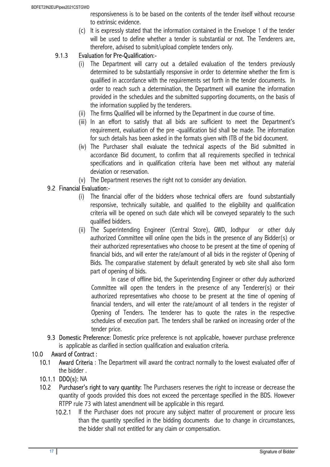responsiveness is to be based on the contents of the tender itself without recourse to extrinsic evidence.

(c) It is expressly stated that the information contained in the Envelope 1 of the tender will be used to define whether a tender is substantial or not. The Tenderers are, therefore, advised to submit/upload complete tenders only.

## 9.1.3 Evaluation for Pre-Qualification:-

- The Department will carry out a detailed evaluation of the tenders previously determined to be substantially responsive in order to determine whether the firm is qualified in accordance with the requirements set forth in the tender documents. In order to reach such a determination, the Department will examine the information provided in the schedules and the submitted supporting documents, on the basis of the information supplied by the tenderers.
- (ii) The firms Qualified will be informed by the Department in due course of time.
- (iii) In an effort to satisfy that all bids are sufficient to meet the Department's requirement, evaluation of the pre -qualification bid shall be made. The information for such details has been asked in the formats given with ITB of the bid document.
- (iv) The Purchaser shall evaluate the technical aspects of the Bid submitted in accordance Bid document, to confirm that all requirements specified in technical specifications and in qualification criteria have been met without any material deviation or reservation.
- (v) The Department reserves the right not to consider any deviation.

## 9.2 Financial Evaluation:-

- (i) The financial offer of the bidders whose technical offers are found substantially responsive, technically suitable, and qualified to the eligibility and qualification criteria will be opened on such date which will be conveyed separately to the such qualified bidders.
- (ii) The Superintending Engineer (Central Store), GWD, Jodhpur or other duly authorized Committee will online open the bids in the presence of any Bidder(s) or their authorized representatives who choose to be present at the time of opening of financial bids, and will enter the rate/amount of all bids in the register of Opening of Bids. The comparative statement by default generated by web site shall also form part of opening of bids.

In case of offline bid, the Superintending Engineer or other duly authorized Committee will open the tenders in the presence of any Tenderer(s) or their authorized representatives who choose to be present at the time of opening of financial tenders, and will enter the rate/amount of all tenders in the register of Opening of Tenders. The tenderer has to quote the rates in the respective schedules of execution part. The tenders shall be ranked on increasing order of the tender price.

9.3 Domestic Preference: Domestic price preference is not applicable, however purchase preference is applicable as clarified in section qualification and evaluation criteria.

## 10.0 Award of Contract :

10.1 Award Criteria: The Department will award the contract normally to the lowest evaluated offer of the bidder .

## 10.1.1 DDO(s): NA

- 10.2 Purchaser's right to vary quantity: The Purchasers reserves the right to increase or decrease the quantity of goods provided this does not exceed the percentage specified in the BDS. However RTPP rule 73 with latest amendment will be applicable in this regard.
	- 10.2.1 If the Purchaser does not procure any subject matter of procurement or procure less than the quantity specified in the bidding documents due to change in circumstances, the bidder shall not entitled for any claim or compensation.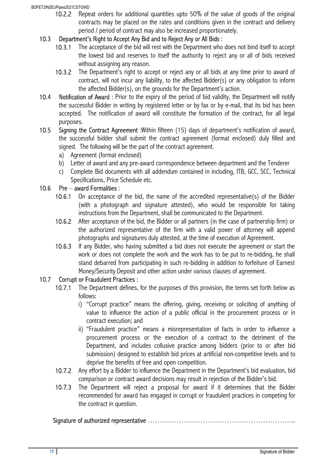BDFET2IN2EUPipes2021CSTGWD

10.2.2 Repeat orders for additional quantities upto 50% of the value of goods of the original contracts may be placed on the rates and conditions given in the contract and delivery period / period of contract may also be increased proportionately.

#### 10.3 Department's Right to Accept Any Bid and to Reject Any or All Bids :

- 10.3.1 The acceptance of the bid will rest with the Department who does not bind itself to accept the lowest bid and reserves to itself the authority to reject any or all of bids received without assigning any reason.
- 10.3.2 The Department's right to accept or reject any or all bids at any time prior to award of contract, will not incur any liability, to the affected Bidder(s) or any obligation to inform the affected Bidder(s), on the grounds for the Department's action.
- 10.4 Notification of Award: Prior to the expiry of the period of bid validity, the Department will notify the successful Bidder in writing by registered letter or by fax or by e-mail, that its bid has been accepted. The notification of award will constitute the formation of the contract, for all legal purposes.
- 10.5 Signing the Contract Agreement :Within fifteen (15) days of department's notification of award, the successful bidder shall submit the contract agreement (format enclosed) duly filled and signed. The following will be the part of the contract agreement.
	- a) Agreement (format enclosed)
	- b) Letter of award and any pre-award correspondence between department and the Tenderer
	- c) Complete Bid documents with all addendum contained in including, ITB, GCC, SCC, Technical Specifications, Price Schedule etc.

## 10.6 Pre – award Formalities :

- 10.6.1 On acceptance of the bid, the name of the accredited representative(s) of the Bidder (with a photograph and signature attested), who would be responsible for taking instructions from the Department, shall be communicated to the Department.
- 10.6.2 After acceptance of the bid, the Bidder or all partners (in the case of partnership firm) or the authorized representative of the firm with a valid power of attorney will append photographs and signatures duly attested, at the time of execution of Agreement.
- 10.6.3 If any Bidder, who having submitted a bid does not execute the agreement or start the work or does not complete the work and the work has to be put to re-bidding, he shall stand debarred from participating in such re-bidding in addition to forfeiture of Earnest Money/Security Deposit and other action under various clauses of agreement.

#### 10.7 Corrupt or Fraudulent Practices :

- 10.7.1 The Department defines, for the purposes of this provision, the terms set forth below as follows:
	- i) "Corrupt practice" means the offering, giving, receiving or soliciting of anything of value to influence the action of a public official in the procurement process or in contract execution; and
	- ii) "Fraudulent practice" means a misrepresentation of facts in order to influence a procurement process or the execution of a contract to the detriment of the Department, and includes collusive practice among bidders (prior to or after bid submission) designed to establish bid prices at artificial non-competitive levels and to deprive the benefits of free and open competition.
- 10.7.2 Any effort by a Bidder to influence the Department in the Department's bid evaluation, bid comparison or contract award decisions may result in rejection of the Bidder's bid.
- 10.7.3 The Department will reject a proposal for award if it determines that the Bidder recommended for award has engaged in corrupt or fraudulent practices in competing for the contract in question.

#### Signature of authorized representative ……………………………………………………..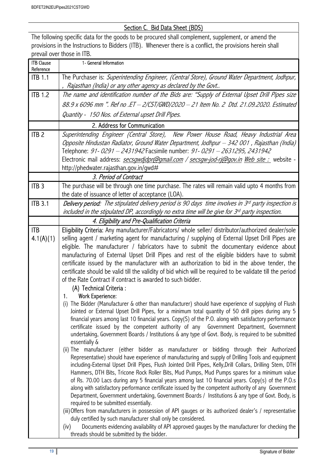## Section C. Bid Data Sheet (BDS)

The following specific data for the goods to be procured shall complement, supplement, or amend the provisions in the Instructions to Bidders (ITB). Whenever there is a conflict, the provisions herein shall prevail over those in ITB.

| <b>ITB Clause</b><br>Reference | 1- General Information                                                                                                                                                                         |
|--------------------------------|------------------------------------------------------------------------------------------------------------------------------------------------------------------------------------------------|
| <b>ITB 1.1</b>                 | The Purchaser is: Superintending Engineer, (Central Store), Ground Water Department, Jodhpur,                                                                                                  |
|                                | Rajasthan (India) or any other agency as declared by the Govt                                                                                                                                  |
| <b>ITB 1.2</b>                 | The name and identification number of the Bids are: "Supply of External Upset Drill Pipes size                                                                                                 |
|                                | 88.9 x 6096 mm ". Ref no .ET - 2/CST/GWD/2020 - 21 Item No. 2 Dtd. 21.09.2020. Estimated                                                                                                       |
|                                | Quantity - 150 Nos. of External upset Drill Pipes.                                                                                                                                             |
|                                | 2. Address for Communication                                                                                                                                                                   |
| ITB <sub>2</sub>               | Superintending Engineer (Central Store), New Power House Road, Heavy Industrial Area                                                                                                           |
|                                | Opposite Hindustan Radiator, Ground Water Department, Jodhpur - 342 001, Rajasthan (India)<br>Telephone: 91-0291 - 2431942 Facsimile number: 91-0291 - 2631295, 2431942                        |
|                                | Electronic mail address: <i>secsgwdjdpr@gmail.com / secsgw-jod-rj@gov.in Web site :</i> website -                                                                                              |
|                                | http://phedwater.rajasthan.gov.in/gwd#                                                                                                                                                         |
|                                | 3. Period of Contract                                                                                                                                                                          |
| ITB <sub>3</sub>               | The purchase will be through one time purchase. The rates will remain valid upto 4 months from                                                                                                 |
|                                | the date of issuance of letter of acceptance (LOA).                                                                                                                                            |
| <b>ITB 3.1</b>                 | <b>Delivery period:</b> The stipulated delivery period is 90 days time involves in 3rd party inspection is                                                                                     |
|                                | included in the stipulated DP, accordingly no extra time will be give for 3rd party inspection.                                                                                                |
|                                | 4. Eligibility and Pre-Qualification Criteria                                                                                                                                                  |
| <b>ITB</b>                     | Eligibility Criteria: Any manufacturer/Fabricators/ whole seller/ distributor/authorized dealer/sole                                                                                           |
| 4.1(A)(1)                      | selling agent / marketing agent for manufacturing / supplying of External Upset Drill Pipes are                                                                                                |
|                                | eligible. The manufacturer / fabricators have to submit the documentary evidence about                                                                                                         |
|                                | manufacturing of External Upset Drill Pipes and rest of the eligible bidders have to submit                                                                                                    |
|                                | certificate issued by the manufacturer with an authorization to bid in the above tender, the                                                                                                   |
|                                | certificate should be valid till the validity of bid which will be required to be validate till the period                                                                                     |
|                                | of the Rate Contract if contract is awarded to such bidder.                                                                                                                                    |
|                                | (A) Technical Criteria :<br><b>Work Experience:</b>                                                                                                                                            |
|                                | 1.<br>The Bidder (Manufacturer & other than manufacturer) should have experience of supplying of Flush<br>(i)                                                                                  |
|                                | Jointed or External Upset Drill Pipes, for a minimum total quantity of 50 drill pipes during any 5                                                                                             |
|                                | financial years among last 10 financial years. Copy(S) of the P.O. along with satisfactory performance                                                                                         |
|                                | certificate issued by the competent authority of any Government Department, Government                                                                                                         |
|                                | undertaking, Government Boards / Institutions & any type of Govt. Body, is required to be submitted                                                                                            |
|                                | essentially &                                                                                                                                                                                  |
|                                | (ii) The manufacturer (either bidder as manufacturer or bidding through their Authorized<br>Representative) should have experience of manufacturing and supply of Drilling Tools and equipment |
|                                | including-External Upset Drill Pipes, Flush Jointed Drill Pipes, Kelly, Drill Collars, Drilling Stem, DTH                                                                                      |
|                                | Hammers, DTH Bits, Tricone Rock Roller Bits, Mud Pumps, Mud Pumps spares for a minimum value                                                                                                   |
|                                | of Rs. 70.00 Lacs during any 5 financial years among last 10 financial years. Copy(s) of the P.O.s                                                                                             |
|                                | along with satisfactory performance certificate issued by the competent authority of any Government                                                                                            |
|                                | Department, Government undertaking, Government Boards / Institutions & any type of Govt. Body, is                                                                                              |
|                                | required to be submitted essentially.                                                                                                                                                          |
|                                | (iii) Offers from manufacturers in possession of API gauges or its authorized dealer's / representative<br>duly certified by such manufacturer shall only be considered.                       |
|                                | Documents evidencing availability of API approved gauges by the manufacturer for checking the<br>(iv)                                                                                          |
|                                | threads should be submitted by the bidder.                                                                                                                                                     |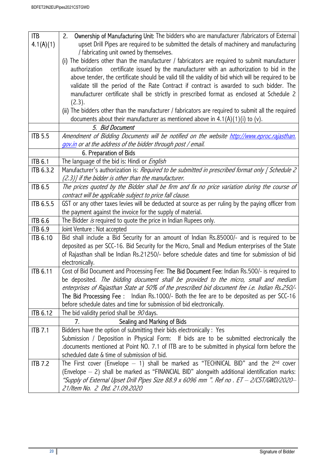| <b>ITB</b>       | Ownership of Manufacturing Unit: The bidders who are manufacturer /fabricators of External<br>2.                                                                                         |
|------------------|------------------------------------------------------------------------------------------------------------------------------------------------------------------------------------------|
| 4.1(A)(1)        | upset Drill Pipes are required to be submitted the details of machinery and manufacturing                                                                                                |
|                  | / fabricating unit owned by themselves.                                                                                                                                                  |
|                  | (i) The bidders other than the manufacturer / fabricators are required to submit manufacturer                                                                                            |
|                  | authorization certificate issued by the manufacturer with an authorization to bid in the                                                                                                 |
|                  | above tender, the certificate should be valid till the validity of bid which will be required to be                                                                                      |
|                  | validate till the period of the Rate Contract if contract is awarded to such bidder. The                                                                                                 |
|                  | manufacturer certificate shall be strictly in prescribed format as enclosed at Schedule 2                                                                                                |
|                  | (2.3).                                                                                                                                                                                   |
|                  | (ii) The bidders other than the manufacturer / fabricators are required to submit all the required<br>documents about their manufacturer as mentioned above in $4.1(A)(1)(i)$ to (v).    |
|                  | 5. Bid Document                                                                                                                                                                          |
| <b>ITB 5.5</b>   | Amendment of Bidding Documents will be notified on the website http://www.eproc.rajasthan.                                                                                               |
|                  | gov.in or at the address of the bidder through post / email.                                                                                                                             |
|                  | 6. Preparation of Bids                                                                                                                                                                   |
| <b>ITB 6.1</b>   | The language of the bid is: Hindi or <i>English</i>                                                                                                                                      |
| <b>ITB 6.3.2</b> | Manufacturer's authorization is: Required to be submitted in prescribed format only [ Schedule 2                                                                                         |
|                  | (2.3)] if the bidder is other than the manufacturer.                                                                                                                                     |
| <b>ITB 6.5</b>   | The prices quoted by the Bidder shall be firm and fix no price variation during the course of                                                                                            |
|                  | contract will be applicable subject to price fall clause.                                                                                                                                |
| ITB 6.5.5        | GST or any other taxes levies will be deducted at source as per ruling by the paying officer from                                                                                        |
|                  | the payment against the invoice for the supply of material.                                                                                                                              |
| <b>ITB 6.6</b>   | The Bidder is required to quote the price in Indian Rupees only.                                                                                                                         |
| <b>ITB 6.9</b>   | Joint Venture : Not accepted                                                                                                                                                             |
| <b>ITB 6.10</b>  | Bid shall include a Bid Security for an amount of Indian Rs.85000/- and is required to be                                                                                                |
|                  | deposited as per SCC-16. Bid Security for the Micro, Small and Medium enterprises of the State                                                                                           |
|                  | of Rajasthan shall be Indian Rs.21250/- before schedule dates and time for submission of bid                                                                                             |
|                  | electronically.                                                                                                                                                                          |
| <b>ITB 6.11</b>  | Cost of Bid Document and Processing Fee: The Bid Document Fee: Indian Rs.500/- is required to                                                                                            |
|                  | be deposited. The bidding document shall be provided to the micro, small and medium                                                                                                      |
|                  | enterprises of Rajasthan State at 50% of the prescribed bid document fee i.e. Indian Rs.250/-<br>The Bid Processing Fee: Indian Rs.1000/- Both the fee are to be deposited as per SCC-16 |
|                  | before schedule dates and time for submission of bid electronically.                                                                                                                     |
| <b>ITB 6.12</b>  | The bid validity period shall be 90 days.                                                                                                                                                |
|                  | Sealing and Marking of Bids<br>7.                                                                                                                                                        |
| <b>ITB 7.1</b>   | Bidders have the option of submitting their bids electronically : Yes                                                                                                                    |
|                  | Submission / Deposition in Physical Form: If bids are to be submitted electronically the                                                                                                 |
|                  | documents mentioned at Point NO. 7.1 of ITB are to be submitted in physical form before the                                                                                              |
|                  | scheduled date & time of submission of bid.                                                                                                                                              |
| <b>ITB 7.2</b>   | The First cover (Envelope $-1$ ) shall be marked as "TECHNICAL BID" and the 2 <sup>nd</sup> cover                                                                                        |
|                  | (Envelope - 2) shall be marked as "FINANCIAL BID" alongwith additional identification marks:                                                                                             |
|                  | "Supply of External Upset Drill Pipes Size 88.9 x 6096 mm ". Ref no . ET - 2/CST/GWD/2020-                                                                                               |
|                  | 21/Item No. 2 Dtd. 21.09.2020                                                                                                                                                            |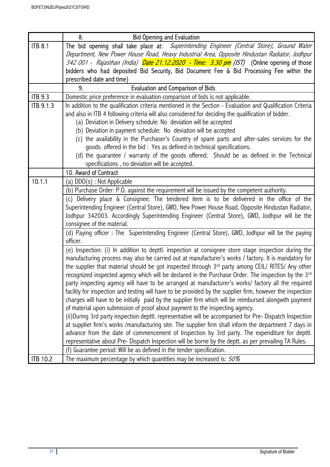|                  | 8.<br><b>Bid Opening and Evaluation</b>                                                                                                                                                                |
|------------------|--------------------------------------------------------------------------------------------------------------------------------------------------------------------------------------------------------|
| <b>ITB 8.1</b>   | The bid opening shall take place at: Superintending Engineer (Central Store), Ground Water                                                                                                             |
|                  | Department, New Power House Road, Heavy Industrial Area, Opposite Hindustan Radiator, Jodhpur                                                                                                          |
|                  | 342 001 - Rajasthan (India) <b>Date 21.12.2020 - Time: 3.30 pm</b> (IST) (Online opening of those                                                                                                      |
|                  | bidders who had deposited Bid Security, Bid Document Fee & Bid Processing Fee within the                                                                                                               |
|                  | prescribed date and time)                                                                                                                                                                              |
|                  | <b>Evaluation and Comparison of Bids</b><br>9.                                                                                                                                                         |
| <b>ITB 9.3</b>   | Domestic price preference in evaluation comparison of bids is not applicable.                                                                                                                          |
| <b>ITB 9.1.3</b> | In addition to the qualification criteria mentioned in the Section - Evaluation and Qualification Criteria                                                                                             |
|                  | and also in ITB 4 following criteria will also considered for deciding the qualification of bidder.                                                                                                    |
|                  | (a) Deviation in Delivery schedule: No deviation will be accepted                                                                                                                                      |
|                  | (b) Deviation in payment schedule: No deviation will be accepted                                                                                                                                       |
|                  | (c) the availability in the Purchaser's Country of spare parts and after-sales services for the                                                                                                        |
|                  | goods offered in the bid: Yes as defined in technical specifications.                                                                                                                                  |
|                  | (d) the guarantee / warranty of the goods offered; Should be as defined in the Technical                                                                                                               |
|                  | specifications, no deviation will be accepted.                                                                                                                                                         |
|                  | 10. Award of Contract                                                                                                                                                                                  |
| 10.1.1           | (a) DDO(s): Not Applicable                                                                                                                                                                             |
|                  | (b) Purchase Order: P.O. against the requirement will be issued by the competent authority.                                                                                                            |
|                  | (c) Delivery place & Consignee: The tendered item is to be delivered in the office of the                                                                                                              |
|                  | Superintending Engineer (Central Store), GWD, New Power House Road, Opposite Hindustan Radiator,                                                                                                       |
|                  | Jodhpur 342003. Accordingly Superintending Engineer (Central Store), GWD, Jodhpur will be the                                                                                                          |
|                  | consignee of the material.                                                                                                                                                                             |
|                  | (d) Paying officer: The Superintending Engineer (Central Store), GWD, Jodhpur will be the paying<br>officer.                                                                                           |
|                  | (e) Inspection: (i) In addition to depttl. inspection at consignee store stage inspection during the                                                                                                   |
|                  | manufacturing process may also be carried out at manufacturer's works / factory. It is mandatory for                                                                                                   |
|                  | the supplier that material should be got inspected through 3rd party among CEIL/ RITES/ Any other                                                                                                      |
|                  | recognized inspected agency which will be declared in the Purchase Order. The inspection by the 3rd                                                                                                    |
|                  | party inspecting agency will have to be arranged at manufacturer's works/ factory all the required                                                                                                     |
|                  | facility for inspection and testing will have to be provided by the supplier firm, however the inspection                                                                                              |
|                  | charges will have to be initially paid by the supplier firm which will be reimbursed alongwith payment                                                                                                 |
|                  | of material upon submission of proof about payment to the inspecting agency.                                                                                                                           |
|                  | (ii)During 3rd party inspection depttl. representative will be accompanied for Pre-Dispatch Inspection                                                                                                 |
|                  | at supplier firm's works /manufacturing site. The supplier firm shall inform the department 7 days in                                                                                                  |
|                  | advance from the date of commencement of Inspection by 3rd party. The expenditure for depttl.<br>representative about Pre- Dispatch Inspection will be borne by the deptt. as per prevailing TA Rules. |
|                  | (f) Guarantee period: Will be as defined in the tender specification.                                                                                                                                  |
|                  |                                                                                                                                                                                                        |
| <b>ITB 10.2</b>  | The maximum percentage by which quantities may be increased is: 50%                                                                                                                                    |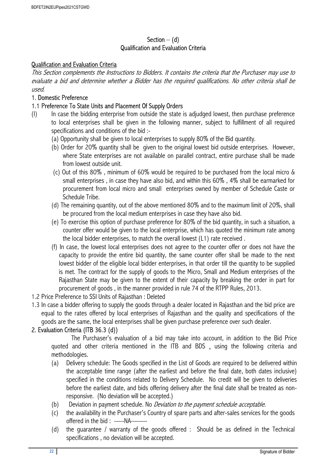## Section  $-$  (d) Qualification and Evaluation Criteria

#### Qualification and Evaluation Criteria

This Section complements the Instructions to Bidders. It contains the criteria that the Purchaser may use to evaluate a bid and determine whether a Bidder has the required qualifications. No other criteria shall be used.

#### 1. Domestic Preference

#### 1.1 Preference To State Units and Placement Of Supply Orders

- (I) In case the bidding enterprise from outside the state is adjudged lowest, then purchase preference to local enterprises shall be given in the following manner, subject to fulfillment of all required specifications and conditions of the bid :-
	- (a) Opportunity shall be given to local enterprises to supply 80% of the Bid quantity.
	- (b) Order for 20% quantity shall be given to the original lowest bid outside enterprises. However, where State enterprises are not available on parallel contract, entire purchase shall be made from lowest outside unit.
	- (c) Out of this 80% , minimum of 60% would be required to be purchased from the local micro & small enterprises , in case they have also bid, and within this 60% , 4% shall be earmarked for procurement from local micro and small enterprises owned by member of Schedule Caste or Schedule Tribe.
	- (d) The remaining quantity, out of the above mentioned 80% and to the maximum limit of 20%, shall be procured from the local medium enterprises in case they have also bid.
	- (e) To exercise this option of purchase preference for 80% of the bid quantity, in such a situation, a counter offer would be given to the local enterprise, which has quoted the minimum rate among the local bidder enterprises, to match the overall lowest (L1) rate received .
	- (f) In case, the lowest local enterprises does not agree to the counter offer or does not have the capacity to provide the entire bid quantity, the same counter offer shall be made to the next lowest bidder of the eligible local bidder enterprises, in that order till the quantity to be supplied is met. The contract for the supply of goods to the Micro, Small and Medium enterprises of the Rajasthan State may be given to the extent of their capacity by breaking the order in part for procurement of goods , in the manner provided in rule 74 of the RTPP Rules, 2013.
- 1.2 Price Preference to SSI Units of Rajasthan : Deleted
- 1.3 In case a bidder offering to supply the goods through a dealer located in Rajasthan and the bid price are equal to the rates offered by local enterprises of Rajasthan and the quality and specifications of the goods are the same, the local enterprises shall be given purchase preference over such dealer.

#### 2. Evaluation Criteria (ITB 36.3 (d))

The Purchaser's evaluation of a bid may take into account, in addition to the Bid Price quoted and other criteria mentioned in the ITB and BDS , using the following criteria and methodologies.

- (a) Delivery schedule: The Goods specified in the List of Goods are required to be delivered within the acceptable time range (after the earliest and before the final date, both dates inclusive) specified in the conditions related to Delivery Schedule. No credit will be given to deliveries before the earliest date, and bids offering delivery after the final date shall be treated as nonresponsive. (No deviation will be accepted.)
- (b) Deviation in payment schedule. No *Deviation to the payment schedule acceptable.*
- (c) the availability in the Purchaser's Country of spare parts and after-sales services for the goods offered in the bid : -----NA--------
- (d) the guarantee / warranty of the goods offered : Should be as defined in the Technical specifications , no deviation will be accepted.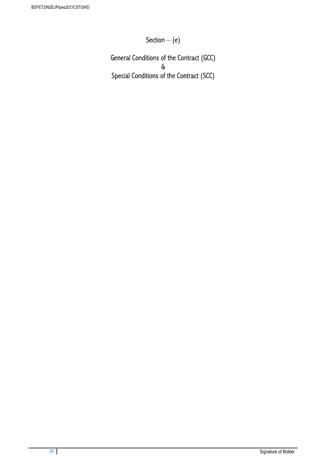Section  $-$  (e)

General Conditions of the Contract (GCC) & Special Conditions of the Contract (SCC)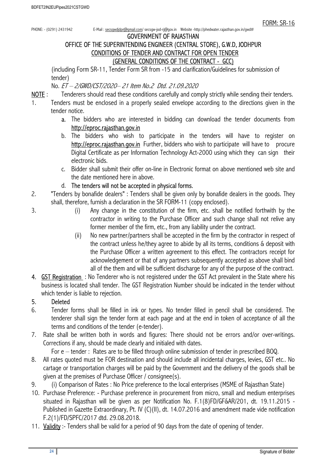PHONE: - (0291) 2431942 E-Mail : secsgwdjdpr@gmail.com/ secsgw-jod-rj@gov.in Website -http://phedwater.rajasthan.gov.in/gwd#

#### GOVERNMENT OF RAJASTHAN

## OFFICE OF THE SUPERINTENDING ENGINEER (CENTRAL STORE), G.W.D, JODHPUR CONDITIONS OF TENDER AND CONTRACT FOR OPEN TENDER (GENERAL CONDITIONS OF THE CONTRACT - GCC)

(including Form SR-11, Tender Form SR from -15 and clarification/Guidelines for submission of tender)

No. ET – 2/GWD/CST/2020– 21 Item No.2 Dtd. 21.09.2020

- NOTE : Tenderers should read these conditions carefully and comply strictly while sending their tenders.
- 1. Tenders must be enclosed in a properly sealed envelope according to the directions given in the tender notice.
	- a. The bidders who are interested in bidding can download the tender documents from http://eproc.rajasthan.gov.in
	- b. The bidders who wish to participate in the tenders will have to register on http://eproc.rajasthan.gov.jn Further, bidders who wish to participate will have to procure Digital Certificate as per Information Technology Act-2000 using which they can sign their electronic bids.
	- c. Bidder shall submit their offer on-line in Electronic format on above mentioned web site and the date mentioned here in above.
	- d. The tenders will not be accepted in physical forms.
- 2. "Tenders by bonafide dealers" : Tenders shall be given only by bonafide dealers in the goods. They shall, therefore, furnish a declaration in the SR FORM-11 (copy enclosed).
- 3. (i) Any change in the constitution of the firm, etc. shall be notified forthwith by the contractor in writing to the Purchase Officer and such change shall not relive any former member of the firm, etc., from any liability under the contract.
	- (ii) No new partner/partners shall be accepted in the firm by the contractor in respect of the contract unless he/they agree to abide by all its terms, conditions & deposit with the Purchase Officer a written agreement to this effect. The contractors receipt for acknowledgement or that of any partners subsequently accepted as above shall bind all of the them and will be sufficient discharge for any of the purpose of the contract.
- 4. GST Registration: No Tenderer who is not registered under the GST Act prevalent in the State where his business is located shall tender. The GST Registration Number should be indicated in the tender without which tender is liable to rejection.

## 5. Deleted

- 6. Tender forms shall be filled in ink or types. No tender filled in pencil shall be considered. The tenderer shall sign the tender form at each page and at the end in token of acceptance of all the terms and conditions of the tender (e-tender).
- 7. Rate shall be written both in words and figures: There should not be errors and/or over-writings. Corrections if any, should be made clearly and initialed with dates.

For e – tender : Rates are to be filled through online submission of tender in prescribed BOQ.

- 8. All rates quoted must be FOR destination and should include all incidental charges, levies, GST etc.. No cartage or transportation charges will be paid by the Government and the delivery of the goods shall be given at the premises of Purchase Officer / consignee(s).
- 9. (i) Comparison of Rates : No Price preference to the local enterprises (MSME of Rajasthan State)
- 10. Purchase Preference: Purchase preference in procurement from micro, small and medium enterprises situated in Rajasthan will be given as per Notification No. F.1(8)FD/GF&AR/201, dt. 19.11.2015 - Published in Gazette Extraordinary, Pt. IV (C)(II), dt. 14.07.2016 and amendment made vide notification F.2(1)/FD/SPFC/2017 dtd. 29.08.2018.
- 11. Validity :- Tenders shall be valid for a period of 90 days from the date of opening of tender.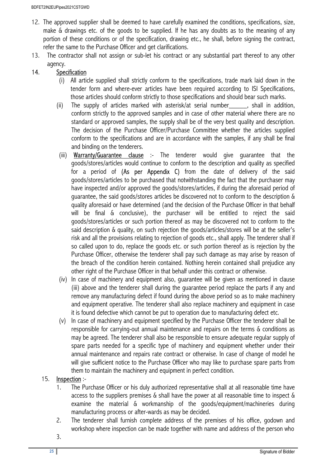- 12. The approved supplier shall be deemed to have carefully examined the conditions, specifications, size, make & drawings etc. of the goods to be supplied. If he has any doubts as to the meaning of any portion of these conditions or of the specification, drawing etc., he shall, before signing the contract, refer the same to the Purchase Officer and get clarifications.
- 13. The contractor shall not assign or sub-let his contract or any substantial part thereof to any other agency.

## 14. Specification

- (i) All article supplied shall strictly conform to the specifications, trade mark laid down in the tender form and where-ever articles have been required according to ISI Specifications, those articles should conform strictly to those specifications and should bear such marks.
- (ii) The supply of articles marked with asterisk/at serial number\_\_\_\_\_, shall in addition, conform strictly to the approved samples and in case of other material where there are no standard or approved samples, the supply shall be of the very best quality and description. The decision of the Purchase Officer/Purchase Committee whether the articles supplied conform to the specifications and are in accordance with the samples, if any shall be final and binding on the tenderers.
- (iii) Warranty/Guarantee clause :- The tenderer would give guarantee that the goods/stores/articles would continue to conform to the description and quality as specified for a period of (As per Appendix C) from the date of delivery of the said goods/stores/articles to be purchased that notwithstanding the fact that the purchaser may have inspected and/or approved the goods/stores/articles, if during the aforesaid period of guarantee, the said goods/stores articles be discovered not to conform to the description & quality aforesaid or have determined (and the decision of the Purchase Officer in that behalf will be final & conclusive), the purchaser will be entitled to reject the said goods/stores/articles or such portion thereof as may be discovered not to conform to the said description & quality, on such rejection the goods/articles/stores will be at the seller's risk and all the provisions relating to rejection of goods etc., shall apply. The tenderer shall if so called upon to do, replace the goods etc. or such portion thereof as is rejection by the Purchase Officer, otherwise the tenderer shall pay such damage as may arise by reason of the breach of the condition herein contained. Nothing herein contained shall prejudice any other right of the Purchase Officer in that behalf under this contract or otherwise.
- (iv) In case of machinery and equipment also, guarantee will be given as mentioned in clause (iii) above and the tenderer shall during the guarantee period replace the parts if any and remove any manufacturing defect if found during the above period so as to make machinery and equipment operative. The tenderer shall also replace machinery and equipment in case it is found defective which cannot be put to operation due to manufacturing defect etc.
- (v) In case of machinery and equipment specified by the Purchase Officer the tenderer shall be responsible for carrying-out annual maintenance and repairs on the terms & conditions as may be agreed. The tenderer shall also be responsible to ensure adequate regular supply of spare parts needed for a specific type of machinery and equipment whether under their annual maintenance and repairs rate contract or otherwise. In case of change of model he will give sufficient notice to the Purchase Officer who may like to purchase spare parts from them to maintain the machinery and equipment in perfect condition.

#### 15. Inspection :-

- 1. The Purchase Officer or his duly authorized representative shall at all reasonable time have access to the suppliers premises & shall have the power at all reasonable time to inspect & examine the material & workmanship of the goods/equipment/machineries during manufacturing process or after-wards as may be decided.
- 2. The tenderer shall furnish complete address of the premises of his office, godown and workshop where inspection can be made together with name and address of the person who
- 3.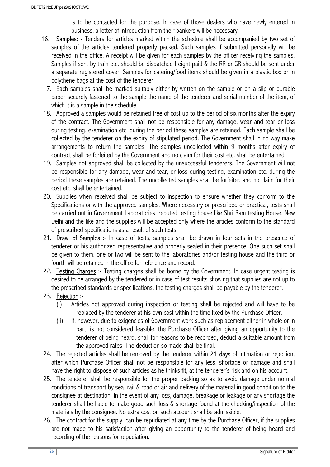is to be contacted for the purpose. In case of those dealers who have newly entered in business, a letter of introduction from their bankers will be necessary.

- 16. Samples: Tenders for articles marked within the schedule shall be accompanied by two set of samples of the articles tendered properly packed. Such samples if submitted personally will be received in the office. A receipt will be given for each samples by the officer receiving the samples. Samples if sent by train etc. should be dispatched freight paid & the RR or GR should be sent under a separate registered cover. Samples for catering/food items should be given in a plastic box or in polythene bags at the cost of the tenderer.
- 17. Each samples shall be marked suitably either by written on the sample or on a slip or durable paper securely fastened to the sample the name of the tenderer and serial number of the item, of which it is a sample in the schedule.
- 18. Approved a samples would be retained free of cost up to the period of six months after the expiry of the contract. The Government shall not be responsible for any damage, wear and tear or loss during testing, examination etc. during the period these samples are retained. Each sample shall be collected by the tenderer on the expiry of stipulated period. The Government shall in no way make arrangements to return the samples. The samples uncollected within 9 months after expiry of contract shall be forfeited by the Government and no claim for their cost etc. shall be entertained.
- 19. Samples not approved shall be collected by the unsuccessful tenderers. The Government will not be responsible for any damage, wear and tear, or loss during testing, examination etc. during the period these samples are retained. The uncollected samples shall be forfeited and no claim for their cost etc. shall be entertained.
- 20. Supplies when received shall be subject to inspection to ensure whether they conform to the Specifications or with the approved samples. Where necessary or prescribed or practical, tests shall be carried out in Government Laboratories, reputed testing house like Shri Ram testing House, New Delhi and the like and the supplies will be accepted only where the articles conform to the standard of prescribed specifications as a result of such tests.
- 21. Drawl of Samples :- In case of tests, samples shall be drawn in four sets in the presence of tenderer or his authorized representative and properly sealed in their presence. One such set shall be given to them, one or two will be sent to the laboratories and/or testing house and the third or fourth will be retained in the office for reference and record.
- 22. Testing Charges :- Testing charges shall be borne by the Government. In case urgent testing is desired to be arranged by the tendered or in case of test results showing that supplies are not up to the prescribed standards or specifications, the testing charges shall be payable by the tenderer.

#### 23. Rejection :-

- (i) Articles not approved during inspection or testing shall be rejected and will have to be replaced by the tenderer at his own cost within the time fixed by the Purchase Officer.
- (ii) If, however, due to exigencies of Government work such as replacement either in whole or in part, is not considered feasible, the Purchase Officer after giving an opportunity to the tenderer of being heard, shall for reasons to be recorded, deduct a suitable amount from the approved rates. The deduction so made shall be final.
- 24. The rejected articles shall be removed by the tenderer within 21 days of intimation or rejection, after which Purchase Officer shall not be responsible for any less, shortage or damage and shall have the right to dispose of such articles as he thinks fit, at the tenderer's risk and on his account.
- 25. The tenderer shall be responsible for the proper packing so as to avoid damage under normal conditions of transport by sea, rail & road or air and delivery of the material in good condition to the consignee at destination. In the event of any loss, damage, breakage or leakage or any shortage the tenderer shall be liable to make good such loss & shortage found at the checking/inspection of the materials by the consignee. No extra cost on such account shall be admissible.
- 26. The contract for the supply, can be repudiated at any time by the Purchase Officer, if the supplies are not made to his satisfaction after giving an opportunity to the tenderer of being heard and recording of the reasons for repudiation.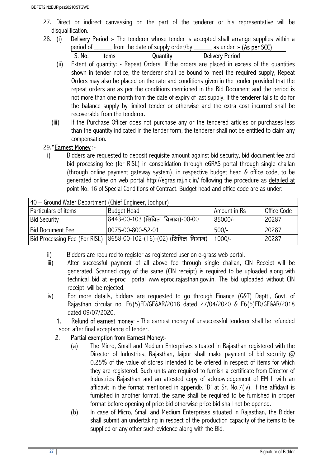- 27. Direct or indirect canvassing on the part of the tenderer or his representative will be disqualification.
- 28. (i) **Delivery Period** :- The tenderer whose tender is accepted shall arrange supplies within a period of \_\_\_\_\_\_ from the date of supply order/by \_\_\_\_\_\_ as under :- (As per SCC)

| . .<br>$\sim$<br>-----<br>------- |  |
|-----------------------------------|--|
|-----------------------------------|--|

- (ii) Extent of quantity: Repeat Orders: If the orders are placed in excess of the quantities shown in tender notice, the tenderer shall be bound to meet the required supply, Repeat Orders may also be placed on the rate and conditions given in the tender provided that the repeat orders are as per the conditions mentioned in the Bid Document and the period is not more than one month from the date of expiry of last supply. If the tenderer fails to do for the balance supply by limited tender or otherwise and the extra cost incurred shall be recoverable from the tenderer.
- (iii) If the Purchase Officer does not purchase any or the tendered articles or purchases less than the quantity indicated in the tender form, the tenderer shall not be entitled to claim any compensation.

## 29.\*Earnest Money :-

i) Bidders are requested to deposit requisite amount against bid security, bid document fee and bid processing fee (for RISL) in consolidation through eGRAS portal through single challan (through online payment gateway system), in respective budget head & office code, to be generated online on web portal http://egras.raj.nic.in/ following the procedure as detailed at point No. 16 of Special Conditions of Contract. Budget head and office code are as under:

| 40 – Ground Water Department (Chief Engineer, Jodhpur) |                                                                    |              |             |  |  |
|--------------------------------------------------------|--------------------------------------------------------------------|--------------|-------------|--|--|
| Particulars of items                                   | <b>Budget Head</b>                                                 | Amount in Rs | Office Code |  |  |
| <b>Bid Security</b>                                    | 8443-00-103 (सिविल विभाग)-00-00                                    | 85000/-      | 20287       |  |  |
| <b>Bid Document Fee</b>                                | 0075-00-800-52-01                                                  | $500/-$      | 20287       |  |  |
|                                                        | Bid Processing Fee (For RISL)  8658-00-102-(16)-(02) (सिविल विभाग) | $1000/-$     | 20287       |  |  |

- ii) Bidders are required to register as registered user on e-grass web portal.
- iii) After successful payment of all above fee through single challan, CIN Receipt will be generated. Scanned copy of the same (CIN receipt) is required to be uploaded along with technical bid at e-proc portal www.eproc.rajasthan.gov.in. The bid uploaded without CIN receipt will be rejected.
- iv) For more details, bidders are requested to go through Finance (G&T) Deptt., Govt. of Rajasthan circular no. F6(5)FD/GF&AR/2018 dated 27/04/2020 & F6(5)FD/GF&AR/2018 dated 09/07/2020.
	- 1. Refund of earnest money: The earnest money of unsuccessful tenderer shall be refunded soon after final acceptance of tender.

## 2. Partial exemption from Earnest Money:-

- (a) The Micro, Small and Medium Enterprises situated in Rajasthan registered with the Director of Industries, Rajasthan, Jaipur shall make payment of bid security  $\omega$ 0.25% of the value of stores intended to be offered in respect of items for which they are registered. Such units are required to furnish a certificate from Director of Industries Rajasthan and an attested copy of acknowledgement of EM II with an affidavit in the format mentioned in appendix 'B' at Sr. No.7(iv). If the affidavit is furnished in another format, the same shall be required to be furnished in proper format before opening of price bid otherwise price bid shall not be opened.
- (b) In case of Micro, Small and Medium Enterprises situated in Rajasthan, the Bidder shall submit an undertaking in respect of the production capacity of the items to be supplied or any other such evidence along with the Bid.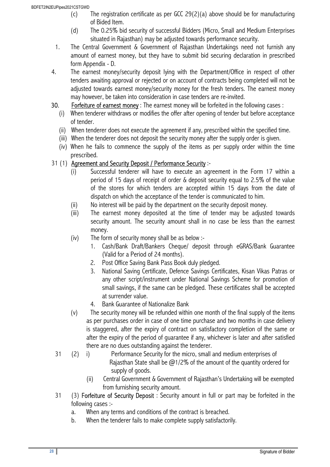- (c) The registration certificate as per GCC 29(2)(a) above should be for manufacturing of Bided Item.
- (d) The 0.25% bid security of successful Bidders (Micro, Small and Medium Enterprises situated in Rajasthan) may be adjusted towards performance security.
- 1. The Central Government & Government of Rajasthan Undertakings need not furnish any amount of earnest money, but they have to submit bid securing declaration in prescribed form Appendix - D.
- 4. The earnest money/security deposit lying with the Department/Office in respect of other tenders awaiting approval or rejected or on account of contracts being completed will not be adjusted towards earnest money/security money for the fresh tenders. The earnest money may however, be taken into consideration in case tenders are re-invited.
- 30. Forfeiture of earnest money: The earnest money will be forfeited in the following cases:
	- (i) When tenderer withdraws or modifies the offer after opening of tender but before acceptance of tender.
	- (ii) When tenderer does not execute the agreement if any, prescribed within the specified time.
	- (iii) When the tenderer does not deposit the security money after the supply order is given.
	- (iv) When he fails to commence the supply of the items as per supply order within the time prescribed.

## 31 (1) Agreement and Security Deposit / Performance Security :-

- (i) Successful tenderer will have to execute an agreement in the Form 17 within a period of 15 days of receipt of order & deposit security equal to 2.5% of the value of the stores for which tenders are accepted within 15 days from the date of dispatch on which the acceptance of the tender is communicated to him.
- (ii) No interest will be paid by the department on the security deposit money.
- (iii) The earnest money deposited at the time of tender may be adjusted towards security amount. The security amount shall in no case be less than the earnest money.
- (iv) The form of security money shall be as below :-
	- 1. Cash/Bank Draft/Bankers Cheque/ deposit through eGRAS/Bank Guarantee (Valid for a Period of 24 months).
	- 2. Post Office Saving Bank Pass Book duly pledged.
	- 3. National Saving Certificate, Defence Savings Certificates, Kisan Vikas Patras or any other script/instrument under National Savings Scheme for promotion of small savings, if the same can be pledged. These certificates shall be accepted at surrender value.
	- 4. Bank Guarantee of Nationalize Bank
- (v) The security money will be refunded within one month of the final supply of the items as per purchases order in case of one time purchase and two months in case delivery is staggered, after the expiry of contract on satisfactory completion of the same or after the expiry of the period of guarantee if any, whichever is later and after satisfied there are no dues outstanding against the tenderer.
- 31 (2) i) Performance Security for the micro, small and medium enterprises of Rajasthan State shall be  $\omega$ 1/2% of the amount of the quantity ordered for supply of goods.
	- (ii) Central Government & Government of Rajasthan's Undertaking will be exempted from furnishing security amount.
- 31 (3) Forfeiture of Security Deposit : Security amount in full or part may be forfeited in the following cases :
	- a. When any terms and conditions of the contract is breached.
	- b. When the tenderer fails to make complete supply satisfactorily.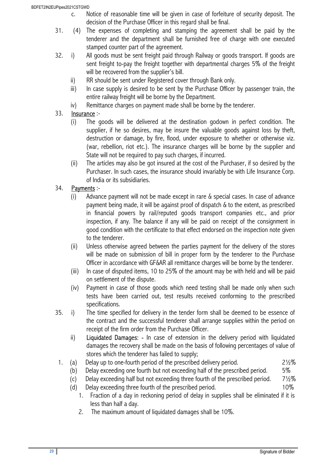- c. Notice of reasonable time will be given in case of forfeiture of security deposit. The decision of the Purchase Officer in this regard shall be final.
- 31. (4) The expenses of completing and stamping the agreement shall be paid by the tenderer and the department shall be furnished free of charge with one executed stamped counter part of the agreement.
- 32. i) All goods must be sent freight paid through Railway or goods transport. If goods are sent freight to-pay the freight together with departmental charges 5% of the freight will be recovered from the supplier's bill.
	- ii) RR should be sent under Registered cover through Bank only.
	- iii) In case supply is desired to be sent by the Purchase Officer by passenger train, the entire railway freight will be borne by the Department.
	- iv) Remittance charges on payment made shall be borne by the tenderer.

## 33. Insurance :-

- (i) The goods will be delivered at the destination godown in perfect condition. The supplier, if he so desires, may be insure the valuable goods against loss by theft, destruction or damage, by fire, flood, under exposure to whether or otherwise viz. (war, rebellion, riot etc.). The insurance charges will be borne by the supplier and State will not be required to pay such charges, if incurred.
- (ii) The articles may also be got insured at the cost of the Purchaser, if so desired by the Purchaser. In such cases, the insurance should invariably be with Life Insurance Corp. of India or its subsidiaries.

## 34. Payments :-

- (i) Advance payment will not be made except in rare & special cases. In case of advance payment being made, it will be against proof of dispatch & to the extent, as prescribed in financial powers by rail/reputed goods transport companies etc., and prior inspection, if any. The balance if any will be paid on receipt of the consignment in good condition with the certificate to that effect endorsed on the inspection note given to the tenderer.
- (ii) Unless otherwise agreed between the parties payment for the delivery of the stores will be made on submission of bill in proper form by the tenderer to the Purchase Officer in accordance with GF&AR all remittance charges will be borne by the tenderer.
- (iii) In case of disputed items, 10 to 25% of the amount may be with held and will be paid on settlement of the dispute.
- (iv) Payment in case of those goods which need testing shall be made only when such tests have been carried out, test results received conforming to the prescribed specifications.
- 35. i) The time specified for delivery in the tender form shall be deemed to be essence of the contract and the successful tenderer shall arrange supplies within the period on receipt of the firm order from the Purchase Officer.
	- ii) Liquidated Damages: In case of extension in the delivery period with liquidated damages the recovery shall be made on the basis of following percentages of value of stores which the tenderer has failed to supply;
- 1. (a) Delay up to one-fourth period of the prescribed delivery period. 21/2%
	- (b) Delay exceeding one fourth but not exceeding half of the prescribed period. 5%
	- (c) Delay exceeding half but not exceeding three fourth of the prescribed period.  $7\frac{1}{2}\%$
	- (d) Delay exceeding three fourth of the prescribed period. 10%
		- 1. Fraction of a day in reckoning period of delay in supplies shall be eliminated if it is less than half a day.
		- 2. The maximum amount of liquidated damages shall be 10%.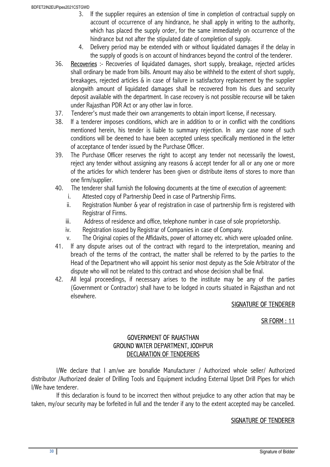- 3. If the supplier requires an extension of time in completion of contractual supply on account of occurrence of any hindrance, he shall apply in writing to the authority, which has placed the supply order, for the same immediately on occurrence of the hindrance but not after the stipulated date of completion of supply.
- 4. Delivery period may be extended with or without liquidated damages if the delay in the supply of goods is on account of hindrances beyond the control of the tenderer.
- 36. Recoveries :- Recoveries of liquidated damages, short supply, breakage, rejected articles shall ordinary be made from bills. Amount may also be withheld to the extent of short supply, breakages, rejected articles & in case of failure in satisfactory replacement by the supplier alongwith amount of liquidated damages shall be recovered from his dues and security deposit available with the department. In case recovery is not possible recourse will be taken under Rajasthan PDR Act or any other law in force.
- 37. Tenderer's must made their own arrangements to obtain import license, if necessary.
- 38. If a tenderer imposes conditions, which are in addition to or in conflict with the conditions mentioned herein, his tender is liable to summary rejection. In any case none of such conditions will be deemed to have been accepted unless specifically mentioned in the letter of acceptance of tender issued by the Purchase Officer.
- 39. The Purchase Officer reserves the right to accept any tender not necessarily the lowest, reject any tender without assigning any reasons & accept tender for all or any one or more of the articles for which tenderer has been given or distribute items of stores to more than one firm/supplier.
- 40. The tenderer shall furnish the following documents at the time of execution of agreement:
	- i. Attested copy of Partnership Deed in case of Partnership Firms.
	- ii. Registration Number & year of registration in case of partnership firm is registered with Registrar of Firms.
	- iii. Address of residence and office, telephone number in case of sole proprietorship.
	- iv. Registration issued by Registrar of Companies in case of Company.
	- v. The Original copies of the Affidavits, power of attorney etc. which were uploaded online.
- 41. If any dispute arises out of the contract with regard to the interpretation, meaning and breach of the terms of the contract, the matter shall be referred to by the parties to the Head of the Department who will appoint his senior most deputy as the Sole Arbitrator of the dispute who will not be related to this contract and whose decision shall be final.
- 42. All legal proceedings, if necessary arises to the institute may be any of the parties (Government or Contractor) shall have to be lodged in courts situated in Rajasthan and not elsewhere.

#### SIGNATURE OF TENDERER

#### SR FORM : 11

#### GOVERNMENT OF RAJASTHAN GROUND WATER DEPARTMENT, JODHPUR DECLARATION OF TENDERERS

 I/We declare that I am/we are bonafide Manufacturer / Authorized whole seller/ Authorized distributor /Authorized dealer of Drilling Tools and Equipment including External Upset Drill Pipes for which I/We have tenderer.

 If this declaration is found to be incorrect then without prejudice to any other action that may be taken, my/our security may be forfeited in full and the tender if any to the extent accepted may be cancelled.

#### SIGNATURE OF TENDERER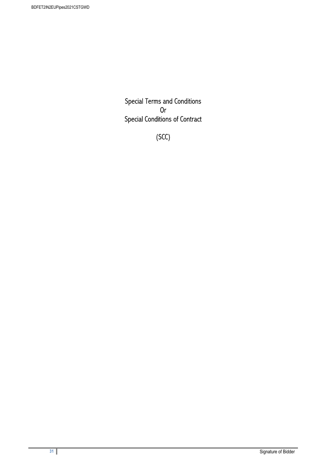Special Terms and Conditions Or Special Conditions of Contract

(SCC)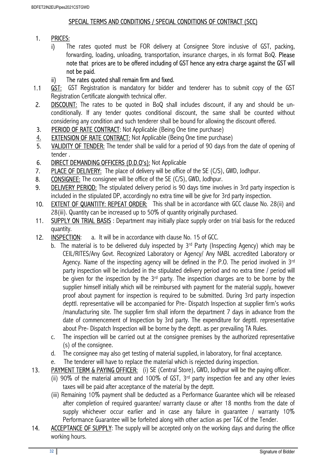#### SPECIAL TERMS AND CONDITIONS / SPECIAL CONDITIONS OF CONTRACT (SCC)

### 1. PRICES:

- i) The rates quoted must be FOR delivery at Consignee Store inclusive of GST, packing, forwarding, loading, unloading, transportation, insurance charges, in xls format BoQ. Please note that prices are to be offered including of GST hence any extra charge against the GST will not be paid.
- ii) The rates quoted shall remain firm and fixed.
- 1.1 **GST:** GST Registration is mandatory for bidder and tenderer has to submit copy of the GST Registration Certificate alongwith technical offer.
- 2. **DISCOUNT:** The rates to be quoted in BoQ shall includes discount, if any and should be unconditionally. If any tender quotes conditional discount, the same shall be counted without considering any condition and such tenderer shall be bound for allowing the discount offered.
- 3. PERIOD OF RATE CONTRACT: Not Applicable (Being One time purchase)
- 4. EXTENSION OF RATE CONTRACT: Not Applicable (Being One time purchase)
- 5. VALIDITY OF TENDER: The tender shall be valid for a period of 90 days from the date of opening of tender .
- 6. DIRECT DEMANDING OFFICERS (D.D.O's): Not Applicable
- 7. PLACE OF DELIVERY: The place of delivery will be office of the SE (C/S), GWD, Jodhpur.
- 8. CONSIGNEE: The consignee will be office of the SE (C/S), GWD, Jodhpur.
- 9. DELIVERY PERIOD: The stipulated delivery period is 90 days time involves in 3rd party inspection is included in the stipulated DP, accordingly no extra time will be give for 3rd party inspection.
- 10. EXTENT OF QUANTITY: REPEAT ORDER: This shall be in accordance with GCC clause No. 28(ii) and 28(iii). Quantity can be increased up to 50% of quantity originally purchased.
- 11. SUPPLY ON TRIAL BASIS: Department may initially place supply order on trial basis for the reduced quantity.
- 12. **INSPECTION:** a. It will be in accordance with clause No. 15 of GCC.
	- b. The material is to be delivered duly inspected by  $3<sup>rd</sup>$  Party (Inspecting Agency) which may be CEIL/RITES/Any Govt. Recognized Laboratory or Agency/ Any NABL accredited Laboratory or Agency. Name of the inspecting agency will be defined in the P.O. The period involved in 3<sup>rd</sup> party inspection will be included in the stipulated delivery period and no extra time / period will be given for the inspection by the 3<sup>rd</sup> party. The inspection charges are to be borne by the supplier himself initially which will be reimbursed with payment for the material supply, however proof about payment for inspection is required to be submitted. During 3rd party inspection depttl. representative will be accompanied for Pre- Dispatch Inspection at supplier firm's works /manufacturing site. The supplier firm shall inform the department 7 days in advance from the date of commencement of Inspection by 3rd party. The expenditure for depttl. representative about Pre- Dispatch Inspection will be borne by the deptt. as per prevailing TA Rules.
	- c. The inspection will be carried out at the consignee premises by the authorized representative (s) of the consignee.
	- d. The consignee may also get testing of material supplied, in laboratory, for final acceptance.
	- e. The tenderer will have to replace the material which is rejected during inspection.
- 13. PAYMENT TERM & PAYING OFFICER: (i) SE (Central Store), GWD, Jodhpur will be the paying officer.
	- (ii) 90% of the material amount and 100% of GST,  $3<sup>rd</sup>$  party inspection fee and any other levies taxes will be paid after acceptance of the material by the deptt.
	- (iii) Remaining 10% payment shall be deducted as a Performance Guarantee which will be released after completion of required guarantee/ warranty clause or after 18 months from the date of supply whichever occur earlier and in case any failure in guarantee / warranty 10% Performance Guarantee will be forfeited along with other action as per T&C of the Tender.
- 14. ACCEPTANCE OF SUPPLY: The supply will be accepted only on the working days and during the office working hours.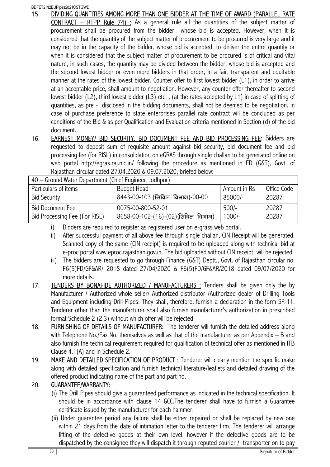BDFET2IN2EUPipes2021CSTGWD

- 15. DIVIDING QUANTITIES AMONG MORE THAN ONE BIDDER AT THE TIME OF AWARD (PARALLEL RATE **CONTRACT** – RTPP Rule 74) : As a general rule all the quantities of the subject matter of procurement shall be procured from the bidder whose bid is accepted. However, when it is considered that the quantity of the subject matter of procurement to be procured is very large and it may not be in the capacity of the bidder, whose bid is accepted, to deliver the entire quantity or when it is considered that the subject matter of procurement to be procured is of critical and vital nature, in such cases, the quantity may be divided between the bidder, whose bid is accepted and the second lowest bidder or even more bidders in that order, in a fair, transparent and equitable manner at the rates of the lowest bidder. Counter offer to first lowest bidder (L1), in order to arrive at an acceptable price, shall amount to negotiation. However, any counter offer thereafter to second lowest bidder (L2), third lowest bidder (L3) etc. , (at the rates accepted by L1) in case of splitting of quantities, as pre - disclosed in the bidding documents, shall not be deemed to be negotiation. In case of purchase preference to state enterprises parallel rate contract will be concluded as per conditions of the Bid & as per Qualification and Evaluation criteria mentioned in Section (d) of the bid document.
- 16. EARNEST MONEY/ BID SECURITY, BID DOCUMENT FEE AND BID PROCESSING FEE: Bidders are requested to deposit sum of requisite amount against bid security, bid document fee and bid processing fee (for RISL) in consolidation on eGRAS through single challan to be generated online on web portal http://egras.raj.nic.in/ following the procedure as mentioned in FD (G&T), Govt. of Rajasthan circular dated 27.04.2020 & 09.07.2020, briefed below:

| 40 — Ground Water Department (Chief Engineer, Jodhpur) |                                     |              |             |
|--------------------------------------------------------|-------------------------------------|--------------|-------------|
| Particulars of items                                   | <b>Budget Head</b>                  | Amount in Rs | Office Code |
| <b>Bid Security</b>                                    | 8443-00-103 (सिविल विभाग)-00-00     | 85000/-      | 20287       |
| <b>Bid Document Fee</b>                                | 0075-00-800-52-01                   | $500/-$      | 20287       |
| Bid Processing Fee (For RISL)                          | 8658-00-102-(16)-(02) (सिविल विभाग) | $1000/-$     | 20287       |

40 – Ground Water Department (Chief Engineer, Jodhpur)

i) Bidders are required to register as registered user on e-grass web portal.

- ii) After successful payment of all above fee through single challan, CIN Receipt will be generated. Scanned copy of the same (CIN receipt) is required to be uploaded along with technical bid at e-proc portal www.eproc.rajasthan.gov.in. The bid uploaded without CIN receipt will be rejected.
- iii) The bidders are requested to go through Finance (G&T) Deptt., Govt. of Rajasthan circular no. F6(5)FD/GF&AR/ 2018 dated 27/04/2020 & F6(5)FD/GF&AR/2018 dated 09/07/2020 for more details.
- 17. **TENDERS BY BONAFIDE AUTHORIZED / MANUFACTURERS**: Tenders shall be given only the by Manufacturer / Authorized whole seller/ Authorized distributor /Authorized dealer of Drilling Tools and Equipment including Drill Pipes. They shall, therefore, furnish a declaration in the form SR-11. Tenderer other than the manufacturer shall also furnish manufacturer's authorization in prescribed format Schedule 2 (2.3) without which offer will be rejected.
- 18. FURNISHING OF DETAILS OF MANUFACTURER: The tenderer will furnish the detailed address along with Telephone No./Fax No. themselves as well as that of the manufacturer as per Appendix – B and also furnish the technical requirement required for qualification of technical offer as mentioned in ITB Clause 4.1(A) and in Schedule 2.
- 19. MAKE AND DETAILED SPECIFICATION OF PRODUCT : Tenderer will clearly mention the specific make along with detailed specification and furnish technical literature/leaflets and detailed drawing of the offered product indicating name of the part and part no.

## 20. GUARANTEE/WARRANTY:

- (i) The Drill Pipes should give a guaranteed performance as indicated in the technical specification. It should be in accordance with clause 14 GCC.The tenderer shall have to furnish a Guarantee certificate issued by the manufacturer for each hammer.
- (ii) Under guarantee period any failure shall be either repaired or shall be replaced by new one within 21 days from the date of intimation letter to the tenderer firm. The tenderer will arrange lifting of the defective goods at their own level, however if the defective goods are to be dispatched by the consignee they will dispatch it through reputed courier / transporter on to pay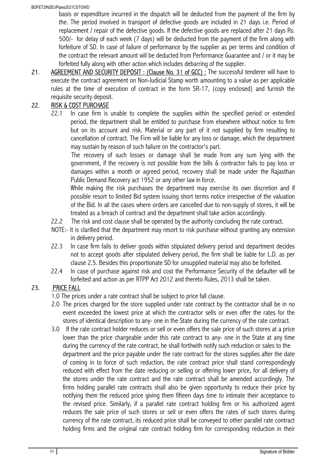basis or expenditure incurred in the dispatch will be deducted from the payment of the firm by the. The period involved in transport of defective goods are included in 21 days i.e. Period of replacement / repair of the defective goods. If the defective goods are replaced after 21 days Rs. 500/- for delay of each week (7 days) will be deducted from the payment of the firm along with forfeiture of SD. In case of failure of performance by the supplier as per terms and condition of the contract the relevant amount will be deducted from Performance Guarantee and / or it may be forfeited fully along with other action which includes debarring of the supplier.

21. AGREEMENT AND SECURITY DEPOSIT: (Clause No. 31 of GCC): The successful tenderer will have to execute the contract agreement on Non-Judicial Stamp worth amounting to a value as per applicable rules at the time of execution of contract in the form SR-17, (copy enclosed) and furnish the requisite security deposit.

## 22. RISK & COST PURCHASE

22.1 In case firm is unable to complete the supplies within the specified period or extended period, the department shall be entitled to purchase from elsewhere without notice to firm but on its account and risk. Material or any part of it not supplied by firm resulting to cancellation of contract. The Firm will be liable for any loss or damage, which the department may sustain by reason of such failure on the contractor's part.

The recovery of such losses or damage shall be made from any sum lying with the government, if the recovery is not possible from the bills & contractor fails to pay loss or damages within a month or agreed period, recovery shall be made under the Rajasthan Public Demand Recovery act 1952 or any other law in force.

While making the risk purchases the department may exercise its own discretion and if possible resort to limited Bid system issuing short terms notice irrespective of the valuation of the Bid. In all the cases where orders are cancelled due to non-supply of stores, it will be treated as a breach of contract and the department shall take action accordingly.

- 22.2 The risk and cost clause shall be operated by the authority concluding the rate contract.
- NOTE:- It is clarified that the department may resort to risk purchase without granting any extension in delivery period.
- 22.3 In case firm fails to deliver goods within stipulated delivery period and department decides not to accept goods after stipulated delivery period, the firm shall be liable for L.D. as per clause 2.5. Besides this proportionate SD for unsupplied material may also be forfeited.
- 22.4 In case of purchase against risk and cost the Performance Security of the defaulter will be forfeited and action as per RTPP Act 2012 and thereto Rules, 2013 shall be taken.

## 23. PRICE FALL

- 1.0 The prices under a rate contract shall be subject to price fall clause.
- 2.0 The prices charged for the store supplied under rate contract by the contractor shall be in no event exceeded the lowest price at which the contractor sells or even offer the rates for the stores of identical description to any- one in the State during the currency of the rate contract.
- 3.0 If the rate contract holder reduces or sell or even offers the sale price of such stores at a price lower than the price chargeable under this rate contract to any- one in the State at any time during the currency of the rate contract, he shall forthwith notify such reduction or sales to the department and the price payable under the rate contract for the stores supplies after the date of coming in to force of such reduction, the rate contract price shall stand correspondingly reduced with effect from the date reducing or selling or offering lower price, for all delivery of the stores under the rate contract and the rate contract shall be amended accordingly. The firms holding parallel rate contracts shall also be given opportunity to reduce their price by notifying them the reduced price giving them fifteen days time to intimate their acceptance to the revised price. Similarly, if a parallel rate contract holding firm or his authorized agent reduces the sale price of such stores or sell or even offers the rates of such stores during currency of the rate contract, its reduced price shall be conveyed to other parallel rate contract holding firms and the original rate contract holding firm for corresponding reduction in their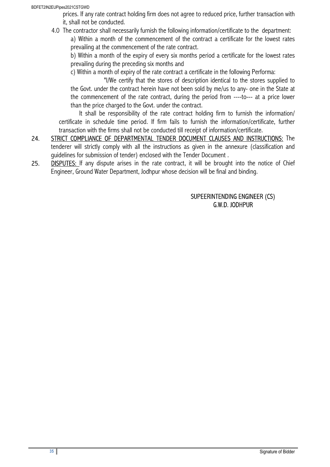#### BDFET2IN2EUPipes2021CSTGWD

prices. If any rate contract holding firm does not agree to reduced price, further transaction with it, shall not be conducted.

4.0 The contractor shall necessarily furnish the following information/certificate to the department: a) Within a month of the commencement of the contract a certificate for the lowest rates prevailing at the commencement of the rate contract.

b) Within a month of the expiry of every six months period a certificate for the lowest rates prevailing during the preceding six months and

c) Within a month of expiry of the rate contract a certificate in the following Performa:

"I/We certify that the stores of description identical to the stores supplied to the Govt. under the contract herein have not been sold by me/us to any- one in the State at the commencement of the rate contract, during the period from ----to--- at a price lower than the price charged to the Govt. under the contract.

It shall be responsibility of the rate contract holding firm to furnish the information/ certificate in schedule time period. If firm fails to furnish the information/certificate, further transaction with the firms shall not be conducted till receipt of information/certificate.

- 24. STRICT COMPLIANCE OF DEPARTMENTAL TENDER DOCUMENT CLAUSES AND INSTRUCTIONS: The tenderer will strictly comply with all the instructions as given in the annexure (classification and guidelines for submission of tender) enclosed with the Tender Document .
- 25. **DISPUTES:** If any dispute arises in the rate contract, it will be brought into the notice of Chief Engineer, Ground Water Department, Jodhpur whose decision will be final and binding.

## SUPEERINTENDING ENGINEER (CS) G.W.D. JODHPUR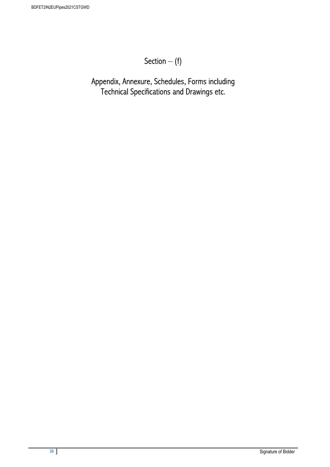## Section – (f)

Appendix, Annexure, Schedules, Forms including Technical Specifications and Drawings etc.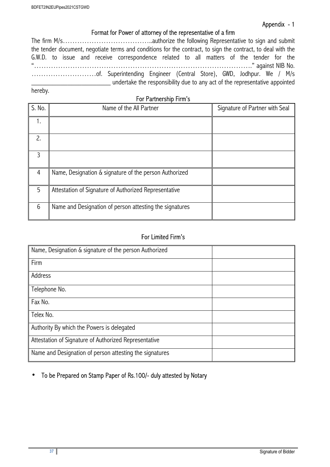## Format for Power of attorney of the representative of a firm

| the tender document, negotiate terms and conditions for the contract, to sign the contract, to deal with the |
|--------------------------------------------------------------------------------------------------------------|
| G.W.D. to issue and receive correspondence related to all matters of the tender for the                      |
|                                                                                                              |
|                                                                                                              |
| undertake the responsibility due to any act of the representative appointed                                  |

hereby.

For Partnership Firm's

| S. No. | Name of the All Partner                                 | Signature of Partner with Seal |
|--------|---------------------------------------------------------|--------------------------------|
|        |                                                         |                                |
| 2.     |                                                         |                                |
| 3      |                                                         |                                |
| 4      | Name, Designation & signature of the person Authorized  |                                |
| 5      | Attestation of Signature of Authorized Representative   |                                |
| 6      | Name and Designation of person attesting the signatures |                                |

## For Limited Firm's

| Name, Designation & signature of the person Authorized  |  |
|---------------------------------------------------------|--|
| Firm                                                    |  |
| Address                                                 |  |
| Telephone No.                                           |  |
| Fax No.                                                 |  |
| Telex No.                                               |  |
| Authority By which the Powers is delegated              |  |
| Attestation of Signature of Authorized Representative   |  |
| Name and Designation of person attesting the signatures |  |

## • To be Prepared on Stamp Paper of Rs.100/- duly attested by Notary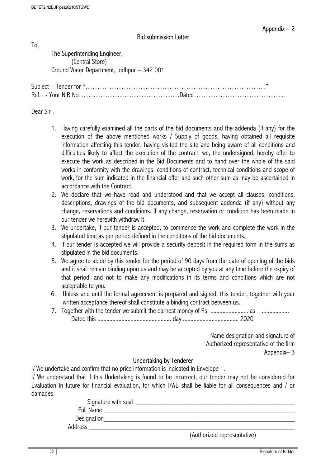#### Bid submission Letter

To,

 The Superintending Engineer, (Central Store) Ground Water Department, Jodhpur – 342 001

Subject – Tender for "…………………………………………………………………" Ref. : - Your NIB No……………………………………Dated………………………………...

Dear Sir ,

- 1. Having carefully examined all the parts of the bid documents and the addenda (if any) for the execution of the above mentioned works / Supply of goods, having obtained all requisite information affecting this tender, having visited the site and being aware of all conditions and difficulties likely to affect the execution of the contract, we, the undersigned, hereby offer to execute the work as described in the Bid Documents and to hand over the whole of the said works in conformity with the drawings, conditions of contract, technical conditions and scope of work, for the sum indicated in the financial offer and such other sum as may be ascertained in accordance with the Contract.
- 2. We declare that we have read and understood and that we accept all clauses, conditions, descriptions, drawings of the bid documents, and subsequent addenda (if any) without any change, reservations and conditions. If any change, reservation or condition has been made in our tender we herewith withdraw it.
- 3. We undertake, if our tender is accepted, to commence the work and complete the work in the stipulated time as per period defined in the conditions of the bid documents.
- 4. If our tender is accepted we will provide a security deposit in the required form in the sums as stipulated in the bid documents.
- 5. We agree to abide by this tender for the period of 90 days from the date of opening of the bids and it shall remain binding upon us and may be accepted by you at any time before the expiry of that period, and not to make any modifications in its terms and conditions which are not acceptable to you.
- 6. Unless and until the formal agreement is prepared and signed, this tender, together with your written acceptance thereof shall constitute a binding contract between us.
- 7. Together with the tender we submit the earnest money of Rs ......................... as .................. Dated this ................................................. day ..................................... 2020

Name designation and signature of Authorized representative of the firm Appendix– 3

#### Undertaking by Tenderer

I/ We undertake and confirm that no price information is indicated in Envelope 1.

I/ We understand that if this Undertaking is found to be incorrect, our tender may not be considered for Evaluation in future for financial evaluation, for which I/WE shall be liable for all consequences and / or damages.

| Signature with seal |                             |
|---------------------|-----------------------------|
| Full Name           |                             |
| Designation         |                             |
| Address             |                             |
|                     | (Authorized representative) |

**38** Signature of Bidder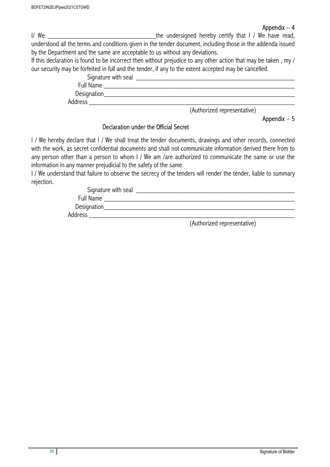#### Appendix  $-4$

I/ We  $\blacksquare$  I/ We have read, understood all the terms and conditions given in the tender document, including those in the addenda issued by the Department and the same are acceptable to us without any deviations.

If this declaration is found to be incorrect then without prejudice to any other action that may be taken , my / our security may be forfeited in full and the tender, if any to the extent accepted may be cancelled.

| Signature with seal |                             |
|---------------------|-----------------------------|
| Full Name           |                             |
| Designation         |                             |
| Address             |                             |
|                     | (Authorized representative) |

#### Appendix – 5

#### Declaration under the Official Secret

I / We hereby declare that I / We shall treat the tender documents, drawings and other records, connected with the work, as secret confidential documents and shall not communicate information derived there from to any person other than a person to whom I / We am /are authorized to communicate the same or use the information in any manner prejudicial to the safety of the same.

I / We understand that failure to observe the secrecy of the tenders will render the tender, liable to summary rejection.

| Signature with seal |  |
|---------------------|--|
| Full Name           |  |
| Designation         |  |
| Address             |  |

(Authorized representative)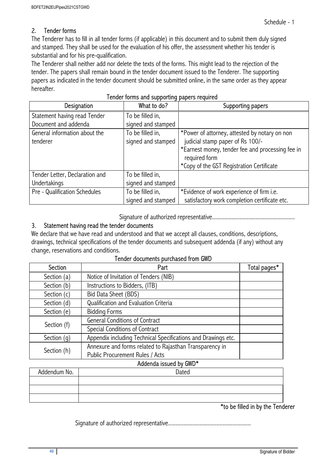#### 2. Tender forms

The Tenderer has to fill in all tender forms (if applicable) in this document and to submit them duly signed and stamped. They shall be used for the evaluation of his offer, the assessment whether his tender is substantial and for his pre-qualification.

The Tenderer shall neither add nor delete the texts of the forms. This might lead to the rejection of the tender. The papers shall remain bound in the tender document issued to the Tenderer. The supporting papers as indicated in the tender document should be submitted online, in the same order as they appear hereafter.

| Designation                                                                            | <b>Terract Territo and eapperang papers required</b><br>What to do?              | Supporting papers                                                                                                                                                                                   |
|----------------------------------------------------------------------------------------|----------------------------------------------------------------------------------|-----------------------------------------------------------------------------------------------------------------------------------------------------------------------------------------------------|
| Statement having read Tender                                                           | To be filled in,                                                                 |                                                                                                                                                                                                     |
| Document and addenda                                                                   | signed and stamped                                                               |                                                                                                                                                                                                     |
| General information about the<br>tenderer                                              | To be filled in,<br>signed and stamped                                           | *Power of attorney, attested by notary on non<br>judicial stamp paper of Rs 100/-<br>*Earnest money, tender fee and processing fee in<br>required form<br>*Copy of the GST Registration Certificate |
| Tender Letter, Declaration and<br><b>Undertakings</b><br>Pre - Qualification Schedules | To be filled in,<br>signed and stamped<br>To be filled in,<br>signed and stamped | *Evidence of work experience of firm i.e.<br>satisfactory work completion certificate etc.                                                                                                          |

|  |  |  |  | Tender forms and supporting papers required |
|--|--|--|--|---------------------------------------------|
|--|--|--|--|---------------------------------------------|

Signature of authorized representative.......................................................

#### 3. Statement having read the tender documents

We declare that we have read and understood and that we accept all clauses, conditions, descriptions, drawings, technical specifications of the tender documents and subsequent addenda (if any) without any change, reservations and conditions.

|  | Tender documents purchased from GWD |
|--|-------------------------------------|
|--|-------------------------------------|

| Section       | Part                                                          |  |  |  |
|---------------|---------------------------------------------------------------|--|--|--|
| Section (a)   | Notice of Invitation of Tenders (NIB)                         |  |  |  |
| Section (b)   | Instructions to Bidders, (ITB)                                |  |  |  |
| Section (c)   | Bid Data Sheet (BDS)                                          |  |  |  |
| Section (d)   | Qualification and Evaluation Criteria                         |  |  |  |
| Section (e)   | <b>Bidding Forms</b>                                          |  |  |  |
|               | <b>General Conditions of Contract</b>                         |  |  |  |
| Section (f)   | Special Conditions of Contract                                |  |  |  |
| Section $(q)$ | Appendix including Technical Specifications and Drawings etc. |  |  |  |
| Section (h)   | Annexure and forms related to Rajasthan Transparency in       |  |  |  |
|               | Public Procurement Rules / Acts                               |  |  |  |

#### Addenda issued by GWD\*

| Addendum No. | Dated |
|--------------|-------|
|              |       |
|              |       |
|              |       |

\*to be filled in by the Tenderer

Signature of authorized representative.......................................................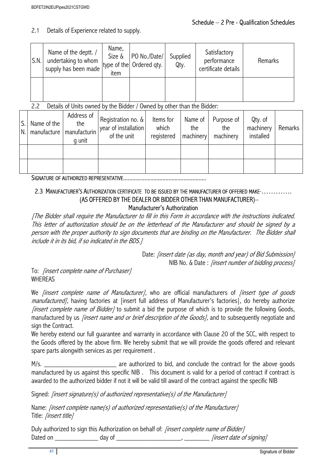2.1 Details of Experience related to supply.

| S.N. | Name of the deptt. /<br>undertaking to whom<br>supply has been made | Name,<br>Size &<br>item | PO No./Date/<br>type of the Ordered qty. | Supplied<br>Qty. | Satisfactory<br>performance<br>certificate details | Remarks |
|------|---------------------------------------------------------------------|-------------------------|------------------------------------------|------------------|----------------------------------------------------|---------|
|      |                                                                     |                         |                                          |                  |                                                    |         |

## 2.2 Details of Units owned by the Bidder / Owned by other than the Bidder:

| S. Name of the<br>N. manufacture manufacturin | Address of<br>the<br>q unit | Registration no. &<br>year of installation<br>of the unit | Items for<br>which<br>registered | Name of<br>the<br>machinery | Purpose of<br>the<br>machinery | Qty. of<br>machinery<br>installed | Remarks |
|-----------------------------------------------|-----------------------------|-----------------------------------------------------------|----------------------------------|-----------------------------|--------------------------------|-----------------------------------|---------|
|                                               |                             |                                                           |                                  |                             |                                |                                   |         |
|                                               |                             |                                                           |                                  |                             |                                |                                   |         |

SIGNATURE OF AUTHORIZED REPRESENTATIVE.......................................................

#### 2.3 MANUFACTURER'S AUTHORIZATION CERTIFICATE TO BE ISSUED BY THE MANUFACTURER OF OFFERED MAKE ............ (AS OFFERED BY THE DEALER OR BIDDER OTHER THAN MANUFACTURER)– Manufacturer's Authorization

[The Bidder shall require the Manufacturer to fill in this Form in accordance with the instructions indicated. This letter of authorization should be on the letterhead of the Manufacturer and should be signed by a person with the proper authority to sign documents that are binding on the Manufacturer. The Bidder shall include it in its bid, if so indicated in the BDS.]

> Date: *[insert date (as day, month and year) of Bid Submission]* NIB No. & Date: *[insert number of bidding process]*

To: [insert complete name of Purchaser] **WHEREAS** 

We *finsert complete name of Manufacturer]*, who are official manufacturers of *finsert type of goods* manufactured], having factories at [insert full address of Manufacturer's factories], do hereby authorize *linsert complete name of Bidder]* to submit a bid the purpose of which is to provide the following Goods, manufactured by us *[insert name and or brief description of the Goods]*, and to subsequently negotiate and sign the Contract.

We hereby extend our full guarantee and warranty in accordance with Clause 20 of the SCC, with respect to the Goods offered by the above firm. We hereby submit that we will provide the goods offered and relevant spare parts alongwith services as per requirement .

M/s. \_\_\_\_\_\_\_\_\_\_\_\_\_\_\_\_\_\_\_\_\_\_\_\_\_\_\_\_\_\_\_\_\_ are authorized to bid, and conclude the contract for the above goods manufactured by us against this specific NIB . This document is valid for a period of contract if contract is awarded to the authorized bidder if not it will be valid till award of the contract against the specific NIB

Signed: *[insert signature(s)* of authorized representative(s) of the Manufacturer]

Name: *[insert complete name(s) of authorized representative(s) of the Manufacturer]* Title: *linsert title]* 

Duly authorized to sign this Authorization on behalf of: *[insert complete name of Bidder]* Dated on \_\_\_\_\_\_\_\_\_\_\_\_ day of \_\_\_\_\_\_\_\_\_\_\_\_\_\_\_\_\_\_, \_\_\_\_\_\_\_ [insert date of signing]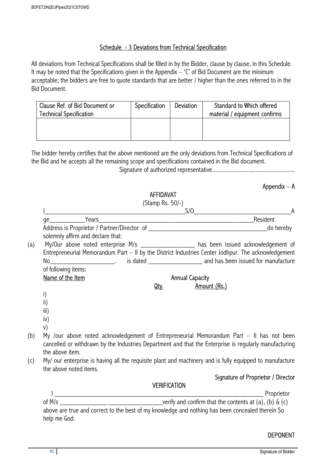#### Schedule - 3 Deviations from Technical Specification

All deviations from Technical Specifications shall be filled in by the Bidder, clause by clause, in this Schedule. It may be noted that the Specifications given in the Appendix  $-$  'C' of Bid Document are the minimum acceptable; the bidders are free to quote standards that are better / higher than the ones referred to in the Bid Document.

| Clause Ref. of Bid Document or<br><b>Technical Specification</b> | Specification | <b>Deviation</b> | Standard to Which offered<br>material / equipment confirms |  |
|------------------------------------------------------------------|---------------|------------------|------------------------------------------------------------|--|
|                                                                  |               |                  |                                                            |  |

The bidder hereby certifies that the above mentioned are the only deviations from Technical Specifications of the Bid and he accepts all the remaining scope and specifications contained in the Bid document.

Signature of authorized representative.......................................................

## Appendix – A

## **ACCIDAVAT**

|                           |                                   | 78 1 11 11 11 11 11<br>(Stamp Rs. 50/-) |                                                                                                                                                                                                    |            |  |
|---------------------------|-----------------------------------|-----------------------------------------|----------------------------------------------------------------------------------------------------------------------------------------------------------------------------------------------------|------------|--|
|                           | S/O                               |                                         |                                                                                                                                                                                                    |            |  |
|                           |                                   |                                         | Resident                                                                                                                                                                                           |            |  |
|                           |                                   |                                         |                                                                                                                                                                                                    |            |  |
|                           | solemnly affirm and declare that: |                                         |                                                                                                                                                                                                    |            |  |
| (a)                       |                                   |                                         | My/Our above noted enterprise M/s __________________ has been issued acknowledgement of                                                                                                            |            |  |
|                           |                                   |                                         | Entrepreneurial Memorandum Part - II by the District Industries Center Jodhpur. The acknowledgement                                                                                                |            |  |
|                           |                                   |                                         |                                                                                                                                                                                                    |            |  |
| of following items:       |                                   |                                         |                                                                                                                                                                                                    |            |  |
|                           | Name of the Item                  |                                         | <b>Annual Capacity</b>                                                                                                                                                                             |            |  |
|                           |                                   | Qty.                                    | Amount (Rs.)                                                                                                                                                                                       |            |  |
| i)                        |                                   |                                         |                                                                                                                                                                                                    |            |  |
| $\mathsf{ii}$ )           |                                   |                                         |                                                                                                                                                                                                    |            |  |
| $\overline{\mathsf{iii}}$ |                                   |                                         |                                                                                                                                                                                                    |            |  |
| iv)                       |                                   |                                         |                                                                                                                                                                                                    |            |  |
| v)                        |                                   |                                         |                                                                                                                                                                                                    |            |  |
| (b)                       |                                   |                                         | My /our above noted acknowledgement of Entrepreneurial Memorandum Part - Il has not been<br>cancelled or withdrawn by the Industries Department and that the Enterprise is regularly manufacturing |            |  |
| the above item.           |                                   |                                         |                                                                                                                                                                                                    |            |  |
| (c)                       |                                   |                                         | My/ our enterprise is having all the requisite plant and machinery and is fully equipped to manufacture                                                                                            |            |  |
|                           | the above noted items.            |                                         |                                                                                                                                                                                                    |            |  |
|                           |                                   |                                         | Signature of Proprietor / Director                                                                                                                                                                 |            |  |
|                           |                                   | <b>VERIFICATION</b>                     |                                                                                                                                                                                                    |            |  |
|                           |                                   |                                         |                                                                                                                                                                                                    | Proprietor |  |
|                           |                                   |                                         |                                                                                                                                                                                                    |            |  |
|                           |                                   |                                         | above are true and correct to the best of my knowledge and nothing has been concealed therein So                                                                                                   |            |  |
| help me God.              |                                   |                                         |                                                                                                                                                                                                    |            |  |

#### DEPONENT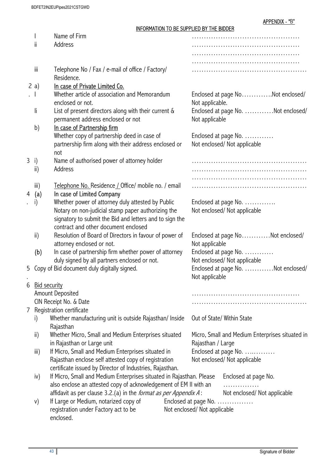#### INFORMATION TO BE SUPPLIED BY THE BIDDER

|     |                                                   |                                                                                                                                           |                              | יוסטוס אוווי וט טאט דער זטכ                         |                                    |  |
|-----|---------------------------------------------------|-------------------------------------------------------------------------------------------------------------------------------------------|------------------------------|-----------------------------------------------------|------------------------------------|--|
|     |                                                   | Name of Firm                                                                                                                              |                              |                                                     |                                    |  |
|     | ii                                                | Address                                                                                                                                   |                              |                                                     |                                    |  |
|     |                                                   |                                                                                                                                           |                              |                                                     |                                    |  |
|     |                                                   |                                                                                                                                           |                              |                                                     |                                    |  |
|     | iii                                               | Telephone No / Fax / e-mail of office / Factory/<br>Residence.                                                                            |                              |                                                     |                                    |  |
|     | 2a)                                               | In case of Private Limited Co.                                                                                                            |                              |                                                     |                                    |  |
| . 1 |                                                   | Whether article of association and Memorandum<br>enclosed or not.                                                                         |                              | Enclosed at page NoNot enclosed/<br>Not applicable. |                                    |  |
|     | li                                                | List of present directors along with their current &<br>permanent address enclosed or not                                                 |                              | Not applicable                                      | Enclosed at page No. Not enclosed/ |  |
|     | b)                                                | In case of Partnership firm                                                                                                               |                              |                                                     |                                    |  |
|     |                                                   | Whether copy of partnership deed in case of                                                                                               |                              |                                                     | Enclosed at page No.               |  |
|     |                                                   | partnership firm along with their address enclosed or<br>not                                                                              |                              | Not enclosed/ Not applicable                        |                                    |  |
|     | 3 i)                                              | Name of authorised power of attorney holder                                                                                               |                              |                                                     |                                    |  |
|     | $\mathsf{ii}$                                     | Address                                                                                                                                   |                              |                                                     |                                    |  |
|     |                                                   |                                                                                                                                           |                              |                                                     |                                    |  |
|     | iii)                                              | Telephone No. Residence / Office/ mobile no. / email                                                                                      |                              |                                                     |                                    |  |
| 4   | (a)                                               | In case of Limited Company                                                                                                                |                              |                                                     |                                    |  |
|     | i)                                                | Whether power of attorney duly attested by Public                                                                                         |                              |                                                     | Enclosed at page No.               |  |
|     |                                                   | Notary on non-judicial stamp paper authorizing the<br>signatory to submit the Bid and letters and to sign the                             |                              |                                                     | Not enclosed/ Not applicable       |  |
|     |                                                   | contract and other document enclosed                                                                                                      |                              |                                                     |                                    |  |
|     | $\mathsf{ii}$                                     | Resolution of Board of Directors in favour of power of<br>attorney enclosed or not.                                                       |                              | Not applicable                                      | Enclosed at page NoNot enclosed/   |  |
|     | (b)                                               | In case of partnership firm whether power of attorney                                                                                     |                              |                                                     | Enclosed at page No.               |  |
|     |                                                   | duly signed by all partners enclosed or not.                                                                                              | Not enclosed/ Not applicable |                                                     |                                    |  |
|     |                                                   | 5 Copy of Bid document duly digitally signed.                                                                                             |                              | Not applicable                                      | Enclosed at page No. Not enclosed/ |  |
| 6   | <b>Bid security</b>                               |                                                                                                                                           |                              |                                                     |                                    |  |
|     |                                                   | Amount Deposited                                                                                                                          |                              |                                                     |                                    |  |
|     |                                                   | CIN Receipt No. & Date                                                                                                                    |                              |                                                     |                                    |  |
| 7   |                                                   | Registration certificate                                                                                                                  |                              |                                                     |                                    |  |
|     | i)                                                | Whether manufacturing unit is outside Rajasthan/ Inside<br>Rajasthan                                                                      |                              |                                                     | Out of State/ Within State         |  |
|     | ii)                                               | Whether Micro, Small and Medium Enterprises situated                                                                                      |                              | Micro, Small and Medium Enterprises situated in     |                                    |  |
|     |                                                   | in Rajasthan or Large unit                                                                                                                |                              | Rajasthan / Large                                   |                                    |  |
|     | $\mathsf{iii}$                                    | If Micro, Small and Medium Enterprises situated in                                                                                        |                              | Enclosed at page No.                                |                                    |  |
|     |                                                   | Rajasthan enclose self attested copy of registration<br>certificate issued by Director of Industries, Rajasthan.                          |                              |                                                     | Not enclosed/ Not applicable       |  |
|     | iv)                                               | If Micro, Small and Medium Enterprises situated in Rajasthan. Please<br>also enclose an attested copy of acknowledgement of EM II with an |                              |                                                     | Enclosed at page No.               |  |
|     |                                                   |                                                                                                                                           |                              | .                                                   |                                    |  |
|     |                                                   | affidavit as per clause 3.2.(a) in the format as per Appendix A:                                                                          |                              |                                                     | Not enclosed/ Not applicable       |  |
|     | V)                                                | If Large or Medium, notarized copy of                                                                                                     |                              |                                                     | Enclosed at page No.               |  |
|     | registration under Factory act to be<br>enclosed. |                                                                                                                                           |                              | Not enclosed/ Not applicable                        |                                    |  |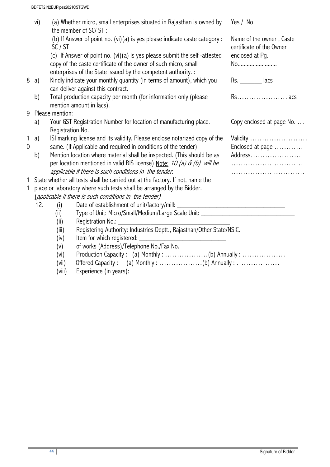|                | vi)                                                                                                  |                   | (a) Whether micro, small enterprises situated in Rajasthan is owned by<br>the member of SC/ST: | Yes / No                                             |  |  |  |
|----------------|------------------------------------------------------------------------------------------------------|-------------------|------------------------------------------------------------------------------------------------|------------------------------------------------------|--|--|--|
|                |                                                                                                      | SC/ST             | (b) If Answer of point no. (vi)(a) is yes please indicate caste category :                     | Name of the owner, Caste<br>certificate of the Owner |  |  |  |
|                |                                                                                                      |                   | (c) If Answer of point no. (vi)(a) is yes please submit the self-attested                      | enclosed at Pg.                                      |  |  |  |
|                |                                                                                                      |                   | copy of the caste certificate of the owner of such micro, small                                | No                                                   |  |  |  |
|                |                                                                                                      |                   | enterprises of the State issued by the competent authority. :                                  |                                                      |  |  |  |
|                | 8 a)                                                                                                 |                   | Kindly indicate your monthly quantity (in terms of amount), which you                          | Rs. lacs                                             |  |  |  |
|                |                                                                                                      |                   | can deliver against this contract.                                                             |                                                      |  |  |  |
|                | b)                                                                                                   |                   | Total production capacity per month (for information only (please                              | Rslacs                                               |  |  |  |
|                | mention amount in lacs).                                                                             |                   |                                                                                                |                                                      |  |  |  |
|                |                                                                                                      | 9 Please mention: |                                                                                                |                                                      |  |  |  |
|                | Your GST Registration Number for location of manufacturing place.<br>Copy enclosed at page No.<br>a) |                   |                                                                                                |                                                      |  |  |  |
|                |                                                                                                      | Registration No.  |                                                                                                |                                                      |  |  |  |
| 1              | a)                                                                                                   |                   | ISI marking license and its validity. Please enclose notarized copy of the                     | Validity                                             |  |  |  |
| $\overline{0}$ | same. (If Applicable and required in conditions of the tender)                                       |                   |                                                                                                | Enclosed at page                                     |  |  |  |
|                | b)                                                                                                   |                   | Mention location where material shall be inspected. (This should be as                         | Address                                              |  |  |  |
|                |                                                                                                      |                   | per location mentioned in valid BIS license) Note: 10 (a) & (b) will be                        |                                                      |  |  |  |
|                |                                                                                                      |                   | applicable if there is such conditions in the tender.                                          |                                                      |  |  |  |
|                |                                                                                                      |                   | 1 State whether all tests shall be carried out at the factory. If not, name the                |                                                      |  |  |  |
| 1.             |                                                                                                      |                   | place or laboratory where such tests shall be arranged by the Bidder.                          |                                                      |  |  |  |
|                |                                                                                                      |                   | (applicable if there is such conditions in the tender)                                         |                                                      |  |  |  |
|                | 12.                                                                                                  | (i)               |                                                                                                |                                                      |  |  |  |
|                |                                                                                                      | (ii)              | Type of Unit: Micro/Small/Medium/Large Scale Unit: _______________                             |                                                      |  |  |  |
|                |                                                                                                      | (ii)              | Registration No.:                                                                              |                                                      |  |  |  |
|                |                                                                                                      | (iii)             | Registering Authority: Industries Deptt., Rajasthan/Other State/NSIC.                          |                                                      |  |  |  |
|                |                                                                                                      | (iv)              | Item for which registered: _                                                                   |                                                      |  |  |  |
|                |                                                                                                      | (v)               | of works (Address)/Telephone No./Fax No.                                                       |                                                      |  |  |  |
|                |                                                                                                      | (vi)              | Production Capacity: (a) Monthly: (b) Annually:                                                |                                                      |  |  |  |
|                |                                                                                                      | (vii)             | Offered Capacity: (a) Monthly: (b) Annually:                                                   |                                                      |  |  |  |
|                |                                                                                                      | (viii)            | Experience (in years):                                                                         |                                                      |  |  |  |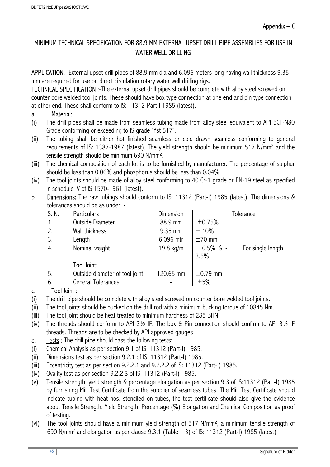## MINIMUM TECHNICAL SPECIFICATION FOR 88.9 MM EXTERNAL UPSET DRILL PIPE ASSEMBLIES FOR USE IN WATER WELL DRILLING

APPLICATION: -External upset drill pipes of 88.9 mm dia and 6.096 meters long having wall thickness 9.35 mm are required for use on direct circulation rotary water well drilling rigs.

TECHNICAL SPECIFICATION :-The external upset drill pipes should be complete with alloy steel screwed on counter bore welded tool joints. These should have box type connection at one end and pin type connection at other end. These shall conform to IS: 11312-Part-I 1985 (latest).

## a. Material:

- (i) The drill pipes shall be made from seamless tubing made from alloy steel equivalent to API 5CT-N80 Grade conforming or exceeding to IS grade "Yst 517".
- (ii) The tubing shall be either hot finished seamless or cold drawn seamless conforming to general requirements of IS: 1387-1987 (latest). The yield strength should be minimum 517 N/mm<sup>2</sup> and the tensile strength should be minimum 690 N/mm<sup>2</sup> .
- (iii) The chemical composition of each lot is to be furnished by manufacturer. The percentage of sulphur should be less than 0.06% and phosphorus should be less than 0.04%.
- (iv) The tool joints should be made of alloy steel conforming to 40 Cr-1 grade or EN-19 steel as specified in schedule IV of IS 1570-1961 (latest).
- b. Dimensions: The raw tubings should conform to IS: 11312 (Part-I) 1985 (latest). The dimensions & tolerances should be as under: -

| S. N. | <b>Particulars</b>             | <b>Dimension</b> | Tolerance     |                   |  |
|-------|--------------------------------|------------------|---------------|-------------------|--|
|       | Outside Diameter               | 88.9 mm          | ±0.75%        |                   |  |
| 2.    | Wall thickness                 | 9.35 mm          | $±10\%$       |                   |  |
| 3.    | Length                         | 6.096 mtr        | $±70$ mm      |                   |  |
| 4.    | Nominal weight                 | 19.8 kg/m        | $+6.5\%$ & -  | For single length |  |
|       |                                |                  | 3.5%          |                   |  |
|       | Tool Joint:                    |                  |               |                   |  |
| 5.    | Outside diameter of tool joint | 120.65 mm        | $\pm$ 0.79 mm |                   |  |
| 6.    | <b>General Tolerances</b>      |                  | ±5%           |                   |  |

## c. Tool Joint :

- (i) The drill pipe should be complete with alloy steel screwed on counter bore welded tool joints.
- (ii) The tool joints should be bucked on the drill rod with a minimum bucking torque of 10845 Nm.
- (iii) The tool joint should be heat treated to minimum hardness of 285 BHN.
- (iv) The threads should conform to API 3½ IF. The box & Pin connection should confirm to API 3½ IF threads. Threads are to be checked by API approved gauges
- d. Tests : The drill pipe should pass the following tests:
- (i) Chemical Analysis as per section 9.1 of IS: 11312 (Part-I) 1985.
- (ii) Dimensions test as per section 9.2.1 of IS: 11312 (Part-I) 1985.
- (iii) Eccentricity test as per section 9.2.2.1 and 9.2.2.2 of IS: 11312 (Part-I) 1985.
- (iv) Ovality test as per section 9.2.2.3 of IS: 11312 (Part-I) 1985.
- (v) Tensile strength, yield strength & percentage elongation as per section 9.3 of IS:11312 (Part-I) 1985 by furnishing Mill Test Certificate from the supplier of seamless tubes. The Mill Test Certificate should indicate tubing with heat nos. stenciled on tubes, the test certificate should also give the evidence about Tensile Strength, Yield Strength, Percentage (%) Elongation and Chemical Composition as proof of testing.
- (vi) The tool joints should have a minimum yield strength of 517 N/mm<sup>2</sup> , a minimum tensile strength of 690 N/mm<sup>2</sup> and elongation as per clause 9.3.1 (Table – 3) of IS: 11312 (Part-I) 1985 (latest)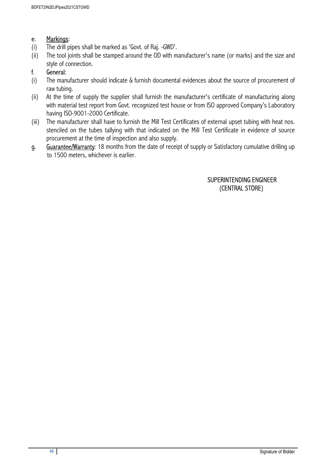#### e. Markings:

- (i) The drill pipes shall be marked as 'Govt. of Raj. -GWD'.
- (ii) The tool joints shall be stamped around the OD with manufacturer's name (or marks) and the size and style of connection.

## f. General:

- (i) The manufacturer should indicate & furnish documental evidences about the source of procurement of raw tubing.
- (ii) At the time of supply the supplier shall furnish the manufacturer's certificate of manufacturing along with material test report from Govt. recognized test house or from ISO approved Company's Laboratory having ISO-9001-2000 Certificate.
- (iii) The manufacturer shall have to furnish the Mill Test Certificates of external upset tubing with heat nos. stenciled on the tubes tallying with that indicated on the Mill Test Certificate in evidence of source procurement at the time of inspection and also supply.
- g. Guarantee/Warranty: 18 months from the date of receipt of supply or Satisfactory cumulative drilling up to 1500 meters, whichever is earlier.

## SUPERINTENDING ENGINEER (CENTRAL STORE)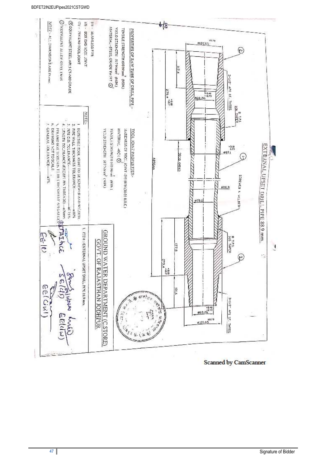

**47** Signature of Bidder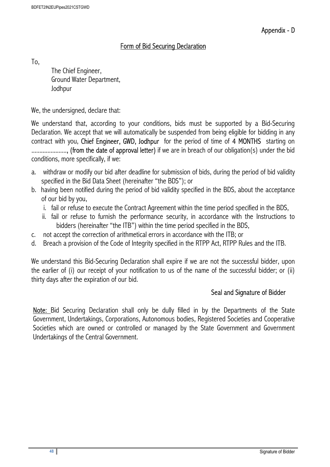## Form of Bid Securing Declaration

To,

 The Chief Engineer, Ground Water Department, Jodhpur

We, the undersigned, declare that:

We understand that, according to your conditions, bids must be supported by a Bid-Securing Declaration. We accept that we will automatically be suspended from being eligible for bidding in any contract with you, Chief Engineer, GWD, Jodhpur for the period of time of 4 MONTHS starting on ......................, (from the date of approval letter) if we are in breach of our obligation(s) under the bid conditions, more specifically, if we:

- a. withdraw or modify our bid after deadline for submission of bids, during the period of bid validity specified in the Bid Data Sheet (hereinafter "the BDS"); or
- b. having been notified during the period of bid validity specified in the BDS, about the acceptance of our bid by you,
	- i. fail or refuse to execute the Contract Agreement within the time period specified in the BDS,
	- ii. fail or refuse to furnish the performance security, in accordance with the Instructions to bidders (hereinafter "the ITB") within the time period specified in the BDS,
- c. not accept the correction of arithmetical errors in accordance with the ITB; or
- d. Breach a provision of the Code of Integrity specified in the RTPP Act, RTPP Rules and the ITB.

We understand this Bid-Securing Declaration shall expire if we are not the successful bidder, upon the earlier of (i) our receipt of your notification to us of the name of the successful bidder; or (ii) thirty days after the expiration of our bid.

#### Seal and Signature of Bidder

Note: Bid Securing Declaration shall only be dully filled in by the Departments of the State Government, Undertakings, Corporations, Autonomous bodies, Registered Societies and Cooperative Societies which are owned or controlled or managed by the State Government and Government Undertakings of the Central Government.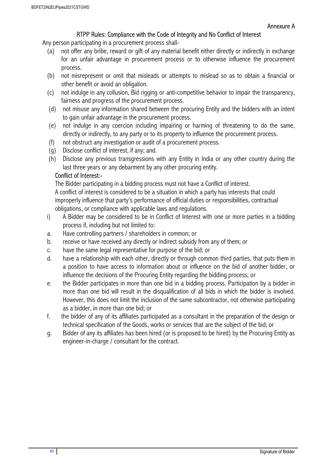#### RTPP Rules: Compliance with the Code of Integrity and No Conflict of Interest

Any person participating in a procurement process shall-

- (a) not offer any bribe, reward or gift of any material benefit either directly or indirectly in exchange for an unfair advantage in procurement process or to otherwise influence the procurement process.
- (b) not misrepresent or omit that misleads or attempts to mislead so as to obtain a financial or other benefit or avoid an obligation.
- (c) not indulge in any collusion, Bid rigging or anti-competitive behavior to impair the transparency, fairness and progress of the procurement process.
- (d) not misuse any information shared between the procuring Entity and the bidders with an intent to gain unfair advantage in the procurement process.
- (e) not indulge in any coercion including impairing or harming of threatening to do the same, directly or indirectly, to any party or to its property to influence the procurement process.
- (f) not obstruct any investigation or audit of a procurement process.
- (g) Disclose conflict of interest, if any; and.
- (h) Disclose any previous transgressions with any Entity in India or any other country during the last three years or any debarment by any other procuring entity.

#### Conflict of Interest:-

The Bidder participating in a bidding process must not have a Conflict of interest. A conflict of interest is considered to be a situation in which a party has interests that could improperly influence that party's performance of official duties or responsibilities, contractual obligations, or compliance with applicable laws and regulations.

- i) A Bidder may be considered to be in Conflict of Interest with one or more parties in a bidding process if, including but not limited to:
- a. Have controlling partners / shareholders in common; or
- b. receive or have received any directly or indirect subsidy from any of them; or
- c. have the same legal representative for purpose of the bid; or
- d. have a relationship with each other, directly or through common third parties, that puts them in a position to have access to information about or influence on the bid of another bidder, or influence the decisions of the Procuring Entity regarding the bidding process; or
- e. the Bidder participates in more than one bid in a bidding process. Participation by a bidder in more than one bid will result in the disqualification of all bids in which the bidder is involved. However, this does not limit the inclusion of the same subcontractor, not otherwise participating as a bidder, in more than one bid; or
- f. the bidder of any of its affiliates participated as a consultant in the preparation of the design or technical specification of the Goods, works or services that are the subject of the bid; or
- g. Bidder of any its affiliates has been hired (or is proposed to be hired) by the Procuring Entity as engineer-in-charge / consultant for the contract.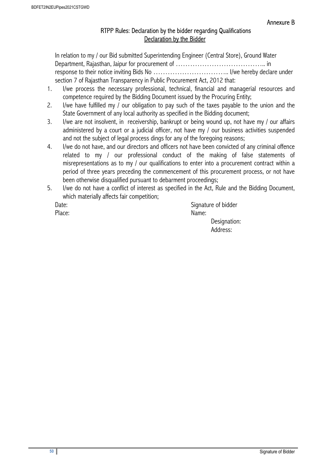#### RTPP Rules: Declaration by the bidder regarding Qualifications Declaration by the Bidder

In relation to my / our Bid submitted Superintending Engineer (Central Store), Ground Water Department, Rajasthan, Jaipur for procurement of ……………………………….. in response to their notice inviting Bids No ………………………….. I/we hereby declare under section 7 of Rajasthan Transparency in Public Procurement Act, 2012 that:

- 1. I/we process the necessary professional, technical, financial and managerial resources and competence required by the Bidding Document issued by the Procuring Entity;
- 2. I/we have fulfilled my / our obligation to pay such of the taxes payable to the union and the State Government of any local authority as specified in the Bidding document;
- 3. I/we are not insolvent, in receivership, bankrupt or being wound up, not have my / our affairs administered by a court or a judicial officer, not have my / our business activities suspended and not the subject of legal process dings for any of the foregoing reasons;
- 4. I/we do not have, and our directors and officers not have been convicted of any criminal offence related to my / our professional conduct of the making of false statements of misrepresentations as to my / our qualifications to enter into a procurement contract within a period of three years preceding the commencement of this procurement process, or not have been otherwise disqualified pursuant to debarment proceedings;
- 5. I/we do not have a conflict of interest as specified in the Act, Rule and the Bidding Document, which materially affects fair competition;

Date: Signature of bidder Place: Name: Name: Name: Name: Name: Name: Name: Name: Name: Name: Name: Name: Name: Name: Name: Name: Name: Name: Name: Name:  $\mathbb{R}^2$  Designation: Address: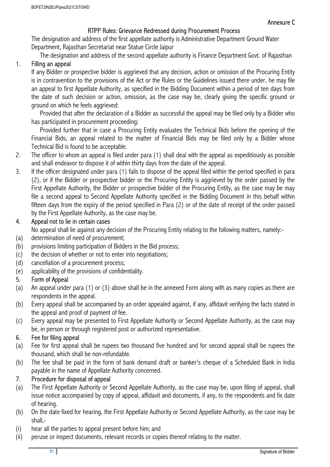## RTPP Rules: Grievance Redressed during Procurement Process

The designation and address of the first appellate authority is Administrative Department Ground Water Department, Rajasthan Secretariat near Statue Circle Jaipur

The designation and address of the second appellate authority is Finance Department Govt. of Rajasthan

## 1. Filling an appeal

If any Bidder or prospective bidder is aggrieved that any decision, action or omission of the Procuring Entity is in contravention to the provisions of the Act or the Rules or the Guidelines issued there under, he may file an appeal to first Appellate Authority, as specified in the Bidding Document within a period of ten days from the date of such decision or action, omission, as the case may be, clearly giving the specific ground or ground on which he feels aggrieved:

Provided that after the declaration of a Bidder as successful the appeal may be filed only by a Bidder who has participated in procurement proceeding:

Provided further that in case a Procuring Entity evaluates the Technical Bids before the opening of the Financial Bids, an appeal related to the matter of Financial Bids may be filed only by a Bidder whose Technical Bid is found to be acceptable.

- 2. The officer to whom an appeal is filed under para (1) shall deal with the appeal as expeditiously as possible and shall endeavor to dispose it of within thirty days from the date of the appeal.
- 3. If the officer designated under para (1) fails to dispose of the appeal filed within the period specified in para (2), or if the Bidder or prospective bidder or the Procuring Entity is aggrieved by the order passed by the First Appellate Authority, the Bidder or prospective bidder of the Procuring Entity, as the case may be may file a second appeal to Second Appellate Authority specified in the Bidding Document in this behalf within fifteen days from the expiry of the period specified in Para (2) or of the date of receipt of the order passed by the First Appellate Authority, as the case may be.

## 4. Appeal not to lie in certain cases

No appeal shall lie against any decision of the Procuring Entity relating to the following matters, namely:-

- (a) determination of need of procurement;
- (b) provisions limiting participation of Bidders in the Bid process;
- (c) the decision of whether or not to enter into negotiations;
- (d) cancellation of a procurement process;
- (e) applicability of the provisions of confidentiality.

## 5. Form of Appeal

- (a) An appeal under para (1) or (3) above shall be in the annexed Form along with as many copies as there are respondents in the appeal.
- (b) Every appeal shall be accompanied by an order appealed against, if any, affidavit verifying the facts stated in the appeal and proof of payment of fee.
- (c) Every appeal may be presented to First Appellate Authority or Second Appellate Authority, as the case may be, in person or through registered post or authorized representative.

#### 6. Fee for filing appeal

- (a) Fee for first appeal shall be rupees two thousand five hundred and for second appeal shall be rupees the thousand, which shall be non-refundable.
- (b) The fee shall be paid in the form of bank demand draft or banker's cheque of a Scheduled Bank in India payable in the name of Appellate Authority concerned.

## 7. Procedure for disposal of appeal

- (a) The First Appellate Authority or Second Appellate Authority, as the case may be, upon filing of appeal, shall issue notice accompanied by copy of appeal, affidavit and documents, if any, to the respondents and fix date of hearing.
- (b) On the date fixed for hearing, the First Appellate Authority or Second Appellate Authority, as the case may be shall,-
- (i) hear all the parties to appeal present before him; and
- (ii) peruse or inspect documents, relevant records or copies thereof relating to the matter.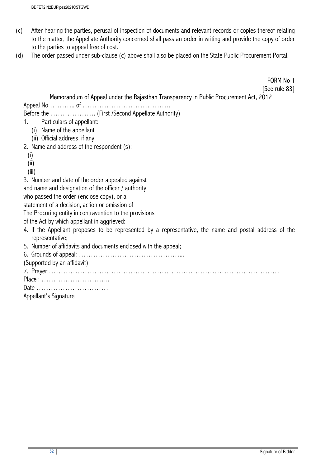- (c) After hearing the parties, perusal of inspection of documents and relevant records or copies thereof relating to the matter, the Appellate Authority concerned shall pass an order in writing and provide the copy of order to the parties to appeal free of cost.
- (d) The order passed under sub-clause (c) above shall also be placed on the State Public Procurement Portal.

FORM No 1 [See rule 83]

#### Memorandum of Appeal under the Rajasthan Transparency in Public Procurement Act, 2012

Appeal No ………… of ……………………………………

Before the ………………. (First /Second Appellate Authority)

1. Particulars of appellant:

- (i) Name of the appellant
- (ii) Official address, if any
- 2. Name and address of the respondent (s):
	- (i)
	- (ii)
	- (iii)

3. Number and date of the order appealed against

and name and designation of the officer / authority

who passed the order (enclose copy), or a

statement of a decision, action or omission of

The Procuring entity in contravention to the provisions

of the Act by which appellant in aggrieved:

- 4. If the Appellant proposes to be represented by a representative, the name and postal address of the representative;
- 5. Number of affidavits and documents enclosed with the appeal;

6. Grounds of appeal: ……………………………………...

(Supported by an affidavit)

7. Prayer;……………………………………………………………………………………

Place : ………………………..

```
Date …………………………
```
Appellant's Signature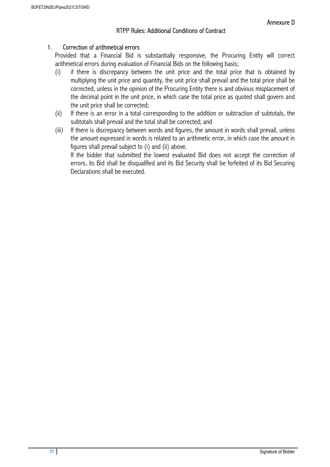### RTPP Rules: Additional Conditions of Contract

#### 1. Correction of arithmetical errors

Provided that a Financial Bid is substantially responsive, the Procuring Entity will correct arithmetical errors during evaluation of Financial Bids on the following basis;

- (i) if there is discrepancy between the unit price and the total price that is obtained by multiplying the unit price and quantity, the unit price shall prevail and the total price shall be corrected, unless in the opinion of the Procuring Entity there is and obvious misplacement of the decimal point in the unit price, in which case the total price as quoted shall govern and the unit price shall be corrected;
- (ii) If there is an error in a total corresponding to the addition or subtraction of subtotals, the subtotals shall prevail and the total shall be corrected; and
- (iii) If there is discrepancy between words and figures, the amount in words shall prevail, unless the amount expressed in words is related to an arithmetic error, in which case the amount in figures shall prevail subject to (i) and (ii) above. If the bidder that submitted the lowest evaluated Bid does not accept the correction of

errors, its Bid shall be disqualified and its Bid Security shall be forfeited of its Bid Securing Declarations shall be executed.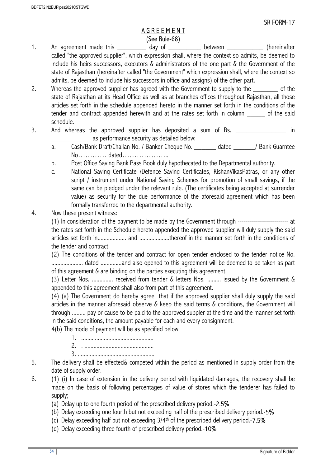#### A G R E E M E N T (See Rule-68)

- 1. An agreement made this \_\_\_\_\_\_\_\_\_\_\_ day of \_\_\_\_\_\_\_\_\_\_ between \_\_\_\_\_\_\_\_\_\_\_\_\_ (hereinafter called "the approved supplier", which expression shall, where the context so admits, be deemed to include his heirs successors, executors & administrators of the one part & the Government of the state of Rajasthan (hereinafter called "the Government" which expression shall, where the context so admits, be deemed to include his successors in office and assigns) of the other part.
- 2. Whereas the approved supplier has agreed with the Government to supply to the <u>sain sect</u> of the state of Rajasthan at its Head Office as well as at branches offices throughout Rajasthan, all those articles set forth in the schedule appended hereto in the manner set forth in the conditions of the tender and contract appended herewith and at the rates set forth in column bof the said schedule.
- 3. And whereas the approved supplier has deposited a sum of Rs. as performance security as detailed below:
	- a. Cash/Bank Draft/Challan No. / Banker Cheque No. \_\_\_\_\_\_ dated \_\_\_\_\_\_/ Bank Guarntee No………… dated………………..
	- b. Post Office Saving Bank Pass Book duly hypothecated to the Departmental authority.
	- c. National Saving Certificate /Defence Saving Certificates, KishanVikasPatras, or any other script / instrument under National Saving Schemes for promotion of small savings, if the same can be pledged under the relevant rule. (The certificates being accepted at surrender value) as security for the due performance of the aforesaid agreement which has been formally transferred to the departmental authority.

#### 4. Now these present witness:

(1) In consideration of the payment to be made by the Government through ------------------------- at the rates set forth in the Schedule hereto appended the approved supplier will duly supply the said articles set forth in................... and ....................thereof in the manner set forth in the conditions of the tender and contract.

(2) The conditions of the tender and contract for open tender enclosed to the tender notice No. ..................... dated ..............and also opened to this agreement will be deemed to be taken as part of this agreement & are binding on the parties executing this agreement.

(3) Letter Nos. .............. received from tender & letters Nos. ......... issued by the Government & appended to this agreement shall also from part of this agreement.

(4) (a) The Government do hereby agree that if the approved supplier shall duly supply the said articles in the manner aforesaid observe & keep the said terms & conditions, the Government will through ......... pay or cause to be paid to the approved suppler at the time and the manner set forth in the said conditions, the amount payable for each and every consignment.

4(b) The mode of payment will be as specified below:

- 1. ................................................
- 2. . ..............................................
- 3. ...................................................
- 5. The delivery shall be effected& competed within the period as mentioned in supply order from the date of supply order.
- 6. (1) (i) In case of extension in the delivery period with liquidated damages, the recovery shall be made on the basis of following percentages of value of stores which the tenderer has failed to supply;
	- (a) Delay up to one fourth period of the prescribed delivery period.-2.5%
	- (b) Delay exceeding one fourth but not exceeding half of the prescribed delivery period.-5%
	- (c) Delay exceeding half but not exceeding  $3/4<sup>th</sup>$  of the prescribed delivery period.-7.5%
	- (d) Delay exceeding three fourth of prescribed delivery period.-10%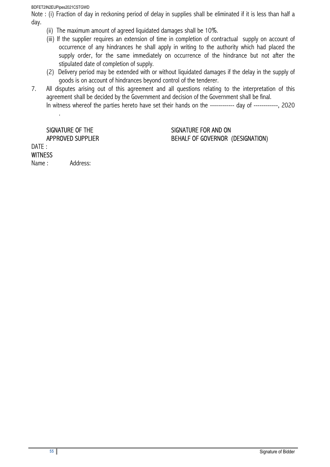BDFET2IN2EUPipes2021CSTGWD

Note : (i) Fraction of day in reckoning period of delay in supplies shall be eliminated if it is less than half a day.

- (ii) The maximum amount of agreed liquidated damages shall be 10%.
- (iii) If the supplier requires an extension of time in completion of contractual supply on account of occurrence of any hindrances he shall apply in writing to the authority which had placed the supply order, for the same immediately on occurrence of the hindrance but not after the stipulated date of completion of supply.
- (2) Delivery period may be extended with or without liquidated damages if the delay in the supply of goods is on account of hindrances beyond control of the tenderer.
- 7. All disputes arising out of this agreement and all questions relating to the interpretation of this agreement shall be decided by the Government and decision of the Government shall be final. In witness whereof the parties hereto have set their hands on the ------------ day of ------------, 2020

.

#### SIGNATURE OF THE SIGNATURE FOR AND ON APPROVED SUPPLIER BEHALF OF GOVERNOR (DESIGNATION)

DATE : **WITNESS** 

Name: Address: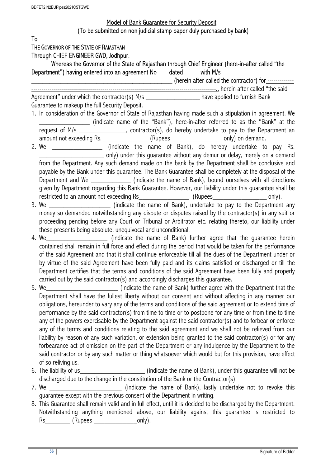## Model of Bank Guarantee for Security Deposit (To be submitted on non judicial stamp paper duly purchased by bank)

To

THE GOVERNOR OF THE STATE OF RAJASTHAN

Through CHIEF ENGINEER GWD, Jodhpur.

Whereas the Governor of the State of Rajasthan through Chief Engineer (here-in-after called "the Department") having entered into an agreement No\_\_\_ dated \_\_\_\_ with M/s

\_\_\_\_\_\_\_\_\_\_\_\_\_\_\_\_\_\_\_\_\_\_\_\_\_\_\_\_\_\_\_\_\_\_\_\_\_\_\_ (herein after called the contractor) for -------------

-------------------------------------------------------------------------------------------., herein after called "the said Agreement" under which the contractor(s)  $M/s$  \_\_\_\_\_\_\_\_\_\_\_\_\_\_\_\_\_\_\_\_ have applied to furnish Bank Guarantee to makeup the full Security Deposit.

- 1. In consideration of the Governor of State of Rajasthan having made such a stipulation in agreement. We \_\_\_\_\_\_\_\_\_\_\_\_\_\_ (indicate name of the "Bank"), here-in-after referred to as the "Bank" at the request of M/s The Most Contractor(s), do hereby undertake to pay to the Department an amount not exceeding Rs. \_\_\_\_\_\_\_\_\_\_\_\_\_\_\_\_\_ (Rupees \_\_\_\_\_\_\_\_\_\_\_\_\_\_\_\_\_\_\_\_ only) on demand.
- 2. We  $\frac{1}{\sqrt{1-\frac{1}{2}}\sqrt{1-\frac{1}{2}}\sqrt{1-\frac{1}{2}}\sqrt{1-\frac{1}{2}}\sqrt{1-\frac{1}{2}}\sqrt{1-\frac{1}{2}}\sqrt{1-\frac{1}{2}}\sqrt{1-\frac{1}{2}}\sqrt{1-\frac{1}{2}}\sqrt{1-\frac{1}{2}}\sqrt{1-\frac{1}{2}}\sqrt{1-\frac{1}{2}}\sqrt{1-\frac{1}{2}}\sqrt{1-\frac{1}{2}}\sqrt{1-\frac{1}{2}}\sqrt{1-\frac{1}{2}}\sqrt{1-\frac{1}{2}}\sqrt{1-\frac{1}{2}}\sqrt{1-\frac{1}{2}}$ \_\_\_\_\_\_\_\_\_\_\_\_\_\_\_\_\_\_ only) under this guarantee without any demur or delay, merely on a demand from the Department. Any such demand made on the bank by the Department shall be conclusive and payable by the Bank under this guarantee. The Bank Guarantee shall be completely at the disposal of the Department and We **Example 20** (indicate the name of Bank), bound ourselves with all directions given by Department regarding this Bank Guarantee. However, our liability under this guarantee shall be restricted to an amount not exceeding Rs\_\_\_\_\_\_\_\_\_\_\_\_\_\_ (Rupees\_\_\_\_\_\_\_\_\_\_\_\_\_\_\_ only).
- 3. We **Example 2.1 Section** (indicate the name of Bank), undertake to pay to the Department any money so demanded notwithstanding any dispute or disputes raised by the contractor(s) in any suit or proceeding pending before any Court or Tribunal or Arbitrator etc. relating thereto, our liability under these presents being absolute, unequivocal and unconditional.
- 4. We\_\_\_\_\_\_\_\_\_\_\_\_\_\_\_\_\_\_\_\_\_\_\_\_\_\_ (indicate the name of Bank) further agree that the guarantee herein contained shall remain in full force and effect during the period that would be taken for the performance of the said Agreement and that it shall continue enforceable till all the dues of the Department under or by virtue of the said Agreement have been fully paid and its claims satisfied or discharged or till the Department certifies that the terms and conditions of the said Agreement have been fully and properly carried out by the said contractor(s) and accordingly discharges this guarantee.
- 5. We setting the state the name of Bank) further agree with the Department that the Department that the Separtment that the Separtment that the Separtment that the Separtment that the Separtment that the Separtment states Department shall have the fullest liberty without our consent and without affecting in any manner our obligations, hereunder to vary any of the terms and conditions of the said agreement or to extend time of performance by the said contractor(s) from time to time or to postpone for any time or from time to time any of the powers exercisable by the Department against the said contractor(s) and to forbear or enforce any of the terms and conditions relating to the said agreement and we shall not be relieved from our liability by reason of any such variation, or extension being granted to the said contractor(s) or for any forbearance act of omission on the part of the Department or any indulgence by the Department to the said contractor or by any such matter or thing whatsoever which would but for this provision, have effect of so reliving us.
- 6. The liability of us\_\_\_\_\_\_\_\_\_\_\_\_\_\_\_\_\_\_ (indicate the name of Bank), under this guarantee will not be discharged due to the change in the constitution of the Bank or the Contractor(s).
- 7. We \_\_\_\_\_\_\_\_\_\_\_\_\_\_\_\_\_\_\_\_ (indicate the name of Bank), lastly undertake not to revoke this guarantee except with the previous consent of the Department in writing.
- 8. This Guarantee shall remain valid and in full effect, until it is decided to be discharged by the Department. Notwithstanding anything mentioned above, our liability against this guarantee is restricted to Rs\_\_\_\_\_\_\_\_\_\_ (Rupees \_\_\_\_\_\_\_\_\_\_\_\_\_\_\_\_\_\_\_\_\_\_\_only).